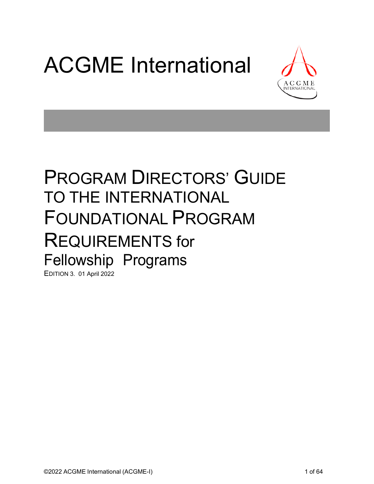# ACGME International



## PROGRAM DIRECTORS' GUIDE TO THE INTERNATIONAL FOUNDATIONAL PROGRAM REQUIREMENTS for Fellowship Programs

EDITION 3. 01 April 2022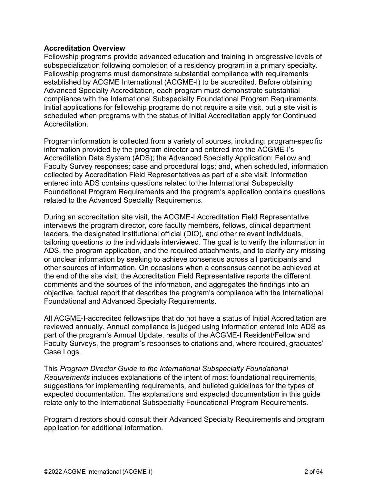#### <span id="page-1-0"></span>**Accreditation Overview**

Fellowship programs provide advanced education and training in progressive levels of subspecialization following completion of a residency program in a primary specialty. Fellowship programs must demonstrate substantial compliance with requirements established by ACGME International (ACGME-I) to be accredited. Before obtaining Advanced Specialty Accreditation, each program must demonstrate substantial compliance with the International Subspecialty Foundational Program Requirements. Initial applications for fellowship programs do not require a site visit, but a site visit is scheduled when programs with the status of Initial Accreditation apply for Continued Accreditation.

Program information is collected from a variety of sources, including: program-specific information provided by the program director and entered into the ACGME-I's Accreditation Data System (ADS); the Advanced Specialty Application; Fellow and Faculty Survey responses; case and procedural logs; and, when scheduled, information collected by Accreditation Field Representatives as part of a site visit. Information entered into ADS contains questions related to the International Subspecialty Foundational Program Requirements and the program's application contains questions related to the Advanced Specialty Requirements.

During an accreditation site visit, the ACGME-I Accreditation Field Representative interviews the program director, core faculty members, fellows, clinical department leaders, the designated institutional official (DIO), and other relevant individuals, tailoring questions to the individuals interviewed. The goal is to verify the information in ADS, the program application, and the required attachments, and to clarify any missing or unclear information by seeking to achieve consensus across all participants and other sources of information. On occasions when a consensus cannot be achieved at the end of the site visit, the Accreditation Field Representative reports the different comments and the sources of the information, and aggregates the findings into an objective, factual report that describes the program's compliance with the International Foundational and Advanced Specialty Requirements.

All ACGME-I-accredited fellowships that do not have a status of Initial Accreditation are reviewed annually. Annual compliance is judged using information entered into ADS as part of the program's Annual Update, results of the ACGME-I Resident/Fellow and Faculty Surveys, the program's responses to citations and, where required, graduates' Case Logs.

This *Program Director Guide to the International Subspecialty Foundational Requirements* includes explanations of the intent of most foundational requirements, suggestions for implementing requirements, and bulleted guidelines for the types of expected documentation. The explanations and expected documentation in this guide relate only to the International Subspecialty Foundational Program Requirements.

Program directors should consult their Advanced Specialty Requirements and program application for additional information.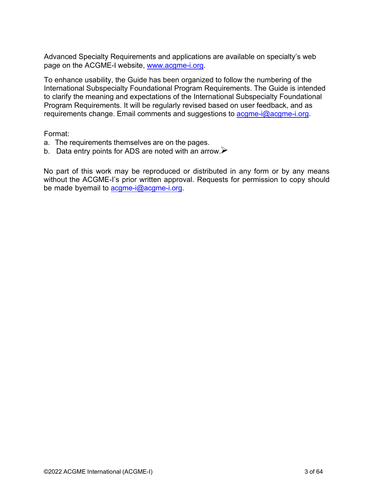Advanced Specialty Requirements and applications are available on specialty's web page on the ACGME-I website, [www.acgme-i.org.](http://www.acgme-i.org/) 

To enhance usability, the Guide has been organized to follow the numbering of the International Subspecialty Foundational Program Requirements. The Guide is intended to clarify the meaning and expectations of the International Subspecialty Foundational Program Requirements. It will be regularly revised based on user feedback, and as requirements change. Email comments and suggestions t[o acgme-i@acgme-i.org.](mailto:acgme-i@acgme-i.org)

Format:

- a. The requirements themselves are on the pages.
- b. Data entry points for ADS are noted with an arrow. $\triangleright$

No part of this work may be reproduced or distributed in any form or by any means without the ACGME-I's prior written approval. Requests for permission to copy should be made byemail t[o acgme-i@acgme-i.org.](mailto:acgme-i@acgme-i.org)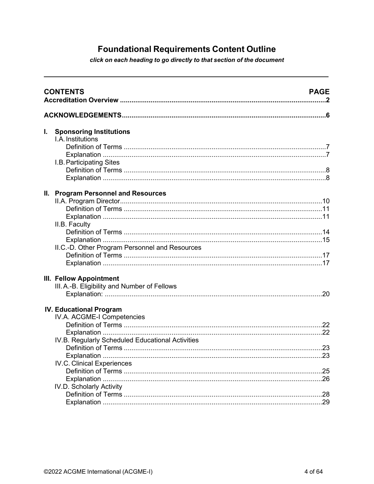### **Foundational Requirements Content Outline**

click on each heading to go directly to that section of the document

|    | <b>CONTENTS</b><br><b>PAGE</b>                                          |     |  |  |  |
|----|-------------------------------------------------------------------------|-----|--|--|--|
|    |                                                                         |     |  |  |  |
| I. | <b>Sponsoring Institutions</b><br>I.A. Institutions                     |     |  |  |  |
|    | I.B. Participating Sites                                                |     |  |  |  |
|    | II. Program Personnel and Resources<br>II.B. Faculty                    |     |  |  |  |
|    |                                                                         |     |  |  |  |
|    | II.C.-D. Other Program Personnel and Resources                          |     |  |  |  |
|    | III. Fellow Appointment<br>III. A.-B. Eligibility and Number of Fellows | .20 |  |  |  |
|    | <b>IV. Educational Program</b><br>IV.A. ACGME-I Competencies            |     |  |  |  |
|    |                                                                         |     |  |  |  |
|    | IV.B. Regularly Scheduled Educational Activities                        |     |  |  |  |
|    | <b>IV.C. Clinical Experiences</b>                                       |     |  |  |  |
|    | IV.D. Scholarly Activity                                                |     |  |  |  |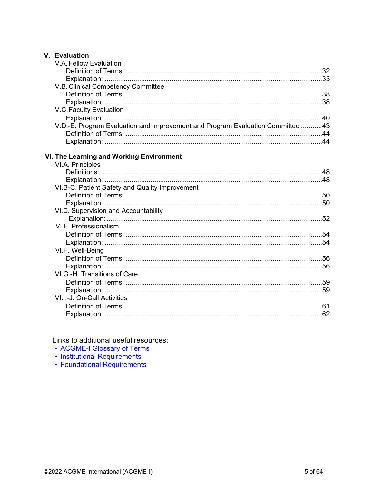#### V. Evaluation

| V.A. Fellow Evaluation                                                         |  |
|--------------------------------------------------------------------------------|--|
|                                                                                |  |
|                                                                                |  |
| V.B. Clinical Competency Committee                                             |  |
|                                                                                |  |
|                                                                                |  |
| V.C. Faculty Evaluation                                                        |  |
|                                                                                |  |
| V.D.-E. Program Evaluation and Improvement and Program Evaluation Committee 43 |  |
|                                                                                |  |
|                                                                                |  |
|                                                                                |  |
| VI. The Learning and Working Environment                                       |  |
| VI.A. Principles                                                               |  |
|                                                                                |  |
|                                                                                |  |
| VI.B-C. Patient Safety and Quality Improvement                                 |  |
|                                                                                |  |
|                                                                                |  |
| VI.D. Supervision and Accountability                                           |  |
|                                                                                |  |
| VI.E. Professionalism                                                          |  |
|                                                                                |  |
|                                                                                |  |
| VI.F. Well-Being                                                               |  |
|                                                                                |  |
|                                                                                |  |
| VI.G.-H. Transitions of Care                                                   |  |
|                                                                                |  |
|                                                                                |  |
| VI.I.-J. On-Call Activities                                                    |  |
|                                                                                |  |
|                                                                                |  |
|                                                                                |  |

Links to additional useful resources:

- ACGME-I Glossary of Terms
- 
- Institutional Requirements<br>• Foundational Requirements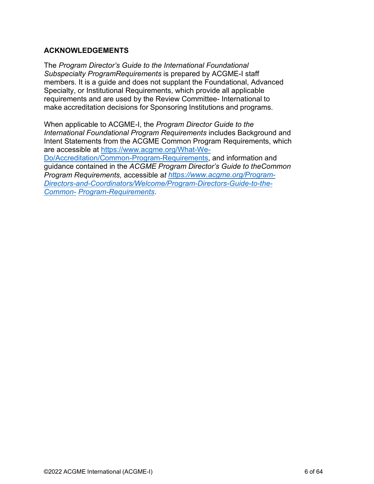#### <span id="page-5-0"></span>**ACKNOWLEDGEMENTS**

The *Program Director's Guide to the International Foundational Subspecialty ProgramRequirements* is prepared by ACGME-I staff members. It is a guide and does not supplant the Foundational, Advanced Specialty, or Institutional Requirements, which provide all applicable requirements and are used by the Review Committee- International to make accreditation decisions for Sponsoring Institutions and programs.

When applicable to ACGME-I, the *Program Director Guide to the International Foundational Program Requirements* includes Background and Intent Statements from the ACGME Common Program Requirements, which are accessible at [https://www.acgme.org/What-We-](https://www.acgme.org/What-We-Do/Accreditation/Common-Program-Requirements)[Do/Accreditation/Common-Program-Requirements,](https://www.acgme.org/What-We-Do/Accreditation/Common-Program-Requirements) and information and guidance contained in the *ACGME Program Director's Guide to theCommon Program Requirements,* accessible a*t [https://www.acgme.org/Program-](https://www.acgme.org/Program-Directors-and-Coordinators/Welcome/Program-Directors-Guide-to-the-Common-Program-Requirements)[Directors-and-Coordinators/Welcome/Program-Directors-Guide-to-the-](https://www.acgme.org/Program-Directors-and-Coordinators/Welcome/Program-Directors-Guide-to-the-Common-Program-Requirements)[Common-](https://www.acgme.org/Program-Directors-and-Coordinators/Welcome/Program-Directors-Guide-to-the-Common-Program-Requirements) [Program-Requirements](https://www.acgme.org/Program-Directors-and-Coordinators/Welcome/Program-Directors-Guide-to-the-Common-Program-Requirements)*.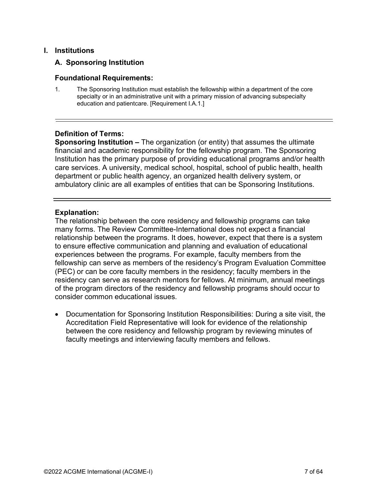#### <span id="page-6-0"></span>**I. Institutions**

#### **A. Sponsoring Institution**

#### **Foundational Requirements:**

1. The Sponsoring Institution must establish the fellowship within a department of the core specialty or in an administrative unit with a primary mission of advancing subspecialty education and patientcare. [Requirement I.A.1.]

#### <span id="page-6-1"></span>**Definition of Terms:**

**Sponsoring Institution –** The organization (or entity) that assumes the ultimate financial and academic responsibility for the fellowship program. The Sponsoring Institution has the primary purpose of providing educational programs and/or health care services. A university, medical school, hospital, school of public health, health department or public health agency, an organized health delivery system, or ambulatory clinic are all examples of entities that can be Sponsoring Institutions.

#### <span id="page-6-2"></span>**Explanation:**

The relationship between the core residency and fellowship programs can take many forms. The Review Committee-International does not expect a financial relationship between the programs. It does, however, expect that there is a system to ensure effective communication and planning and evaluation of educational experiences between the programs. For example, faculty members from the fellowship can serve as members of the residency's Program Evaluation Committee (PEC) or can be core faculty members in the residency; faculty members in the residency can serve as research mentors for fellows. At minimum, annual meetings of the program directors of the residency and fellowship programs should occur to consider common educational issues.

• Documentation for Sponsoring Institution Responsibilities: During a site visit, the Accreditation Field Representative will look for evidence of the relationship between the core residency and fellowship program by reviewing minutes of faculty meetings and interviewing faculty members and fellows.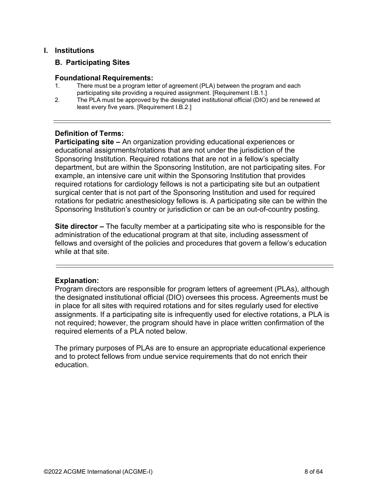#### <span id="page-7-0"></span>**I. Institutions**

#### **B. Participating Sites**

#### **Foundational Requirements:**

- 1. There must be a program letter of agreement (PLA) between the program and each participating site providing a required assignment. [Requirement I.B.1.]
- 2. The PLA must be approved by the designated institutional official (DIO) and be renewed at least every five years. [Requirement I.B.2.]

#### <span id="page-7-1"></span>**Definition of Terms:**

**Participating site –** An organization providing educational experiences or educational assignments/rotations that are not under the jurisdiction of the Sponsoring Institution. Required rotations that are not in a fellow's specialty department, but are within the Sponsoring Institution, are not participating sites. For example, an intensive care unit within the Sponsoring Institution that provides required rotations for cardiology fellows is not a participating site but an outpatient surgical center that is not part of the Sponsoring Institution and used for required rotations for pediatric anesthesiology fellows is. A participating site can be within the Sponsoring Institution's country or jurisdiction or can be an out-of-country posting.

**Site director –** The faculty member at a participating site who is responsible for the administration of the educational program at that site, including assessment of fellows and oversight of the policies and procedures that govern a fellow's education while at that site.

#### <span id="page-7-2"></span>**Explanation:**

Program directors are responsible for program letters of agreement (PLAs), although the designated institutional official (DIO) oversees this process. Agreements must be in place for all sites with required rotations and for sites regularly used for elective assignments. If a participating site is infrequently used for elective rotations, a PLA is not required; however, the program should have in place written confirmation of the required elements of a PLA noted below.

The primary purposes of PLAs are to ensure an appropriate educational experience and to protect fellows from undue service requirements that do not enrich their education.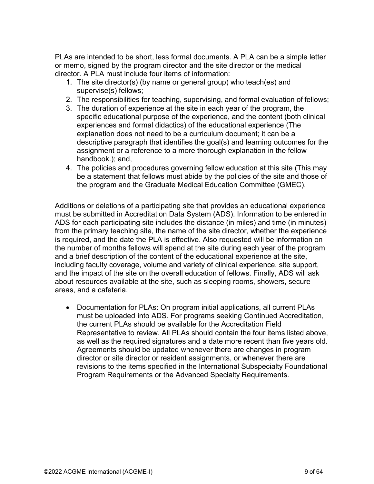PLAs are intended to be short, less formal documents. A PLA can be a simple letter or memo, signed by the program director and the site director or the medical director. A PLA must include four items of information:

- 1. The site director(s) (by name or general group) who teach(es) and supervise(s) fellows;
- 2. The responsibilities for teaching, supervising, and formal evaluation of fellows;
- 3. The duration of experience at the site in each year of the program, the specific educational purpose of the experience, and the content (both clinical experiences and formal didactics) of the educational experience (The explanation does not need to be a curriculum document; it can be a descriptive paragraph that identifies the goal(s) and learning outcomes for the assignment or a reference to a more thorough explanation in the fellow handbook.); and,
- 4. The policies and procedures governing fellow education at this site (This may be a statement that fellows must abide by the policies of the site and those of the program and the Graduate Medical Education Committee (GMEC).

Additions or deletions of a participating site that provides an educational experience must be submitted in Accreditation Data System (ADS). Information to be entered in ADS for each participating site includes the distance (in miles) and time (in minutes) from the primary teaching site, the name of the site director, whether the experience is required, and the date the PLA is effective. Also requested will be information on the number of months fellows will spend at the site during each year of the program and a brief description of the content of the educational experience at the site, including faculty coverage, volume and variety of clinical experience, site support, and the impact of the site on the overall education of fellows. Finally, ADS will ask about resources available at the site, such as sleeping rooms, showers, secure areas, and a cafeteria.

• Documentation for PLAs: On program initial applications, all current PLAs must be uploaded into ADS. For programs seeking Continued Accreditation, the current PLAs should be available for the Accreditation Field Representative to review. All PLAs should contain the four items listed above, as well as the required signatures and a date more recent than five years old. Agreements should be updated whenever there are changes in program director or site director or resident assignments, or whenever there are revisions to the items specified in the International Subspecialty Foundational Program Requirements or the Advanced Specialty Requirements.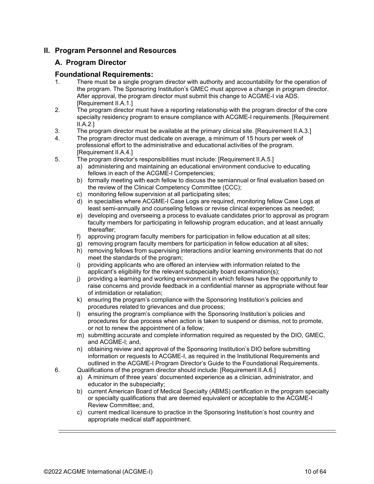#### <span id="page-9-0"></span>**II. Program Personnel and Resources**

#### **A. Program Director**

#### **Foundational Requirements:**

- 1. There must be a single program director with authority and accountability for the operation of the program. The Sponsoring Institution's GMEC must approve a change in program director. After approval, the program director must submit this change to ACGME-I via ADS. [Requirement II.A.1.]
- 2. The program director must have a reporting relationship with the program director of the core specialty residency program to ensure compliance with ACGME-I requirements. [Requirement  $II.A.2.$ ]
- 3. The program director must be available at the primary clinical site. [Requirement II.A.3.]
- 4. The program director must dedicate on average, a minimum of 15 hours per week of professional effort to the administrative and educational activities of the program. [Requirement II.A.4.]
- 5. The program director's responsibilities must include: [Requirement II.A.5.]
	- a) administering and maintaining an educational environment conducive to educating fellows in each of the ACGME-I Competencies;
	- b) formally meeting with each fellow to discuss the semiannual or final evaluation based on the review of the Clinical Competency Committee (CCC);
	- c) monitoring fellow supervision at all participating sites;
	- d) in specialties where ACGME-I Case Logs are required, monitoring fellow Case Logs at least semi-annually and counseling fellows or revise clinical experiences as needed;
	- e) developing and overseeing a process to evaluate candidates prior to approval as program faculty members for participating in fellowship program education, and at least annually thereafter;
	- f) approving program faculty members for participation in fellow education at all sites;
	- g) removing program faculty members for participation in fellow education at all sites;
	- h) removing fellows from supervising interactions and/or learning environments that do not meet the standards of the program;
	- i) providing applicants who are offered an interview with information related to the applicant's eligibility for the relevant subspecialty board examination(s);
	- j) providing a learning and working environment in which fellows have the opportunity to raise concerns and provide feedback in a confidential manner as appropriate without fear of intimidation or retaliation;
	- k) ensuring the program's compliance with the Sponsoring Institution's policies and procedures related to grievances and due process;
	- l) ensuring the program's compliance with the Sponsoring Institution's policies and procedures for due process when action is taken to suspend or dismiss, not to promote, or not to renew the appointment of a fellow;
	- m) submitting accurate and complete information required as requested by the DIO, GMEC, and ACGME-I; and,
	- n) obtaining review and approval of the Sponsoring Institution's DIO before submitting information or requests to ACGME-I, as required in the Institutional Requirements and outlined in the ACGME-I Program Director's Guide to the Foundational Requirements.
- 6. Qualifications of the program director should include: [Requirement II.A.6.]
	- a) A minimum of three years' documented experience as a clinician, administrator, and educator in the subspecialty;
	- b) current American Board of Medical Specialty (ABMS) certification in the program specialty or specialty qualifications that are deemed equivalent or acceptable to the ACGME-I Review Committee; and,
	- c) current medical licensure to practice in the Sponsoring Institution's host country and appropriate medical staff appointment.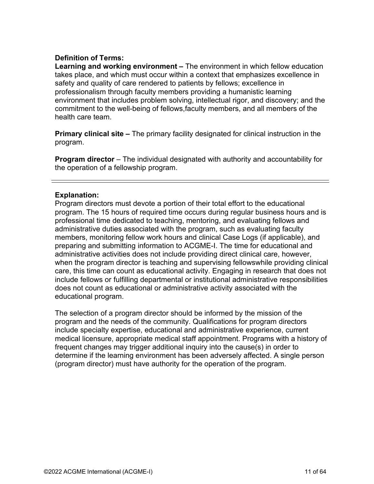#### <span id="page-10-0"></span>**Definition of Terms:**

**Learning and working environment –** The environment in which fellow education takes place, and which must occur within a context that emphasizes excellence in safety and quality of care rendered to patients by fellows; excellence in professionalism through faculty members providing a humanistic learning environment that includes problem solving, intellectual rigor, and discovery; and the commitment to the well-being of fellows,faculty members, and all members of the health care team.

**Primary clinical site –** The primary facility designated for clinical instruction in the program.

**Program director** – The individual designated with authority and accountability for the operation of a fellowship program.

#### <span id="page-10-1"></span>**Explanation:**

Program directors must devote a portion of their total effort to the educational program. The 15 hours of required time occurs during regular business hours and is professional time dedicated to teaching, mentoring, and evaluating fellows and administrative duties associated with the program, such as evaluating faculty members, monitoring fellow work hours and clinical Case Logs (if applicable), and preparing and submitting information to ACGME-I. The time for educational and administrative activities does not include providing direct clinical care, however, when the program director is teaching and supervising fellowswhile providing clinical care, this time can count as educational activity. Engaging in research that does not include fellows or fulfilling departmental or institutional administrative responsibilities does not count as educational or administrative activity associated with the educational program.

The selection of a program director should be informed by the mission of the program and the needs of the community. Qualifications for program directors include specialty expertise, educational and administrative experience, current medical licensure, appropriate medical staff appointment. Programs with a history of frequent changes may trigger additional inquiry into the cause(s) in order to determine if the learning environment has been adversely affected. A single person (program director) must have authority for the operation of the program.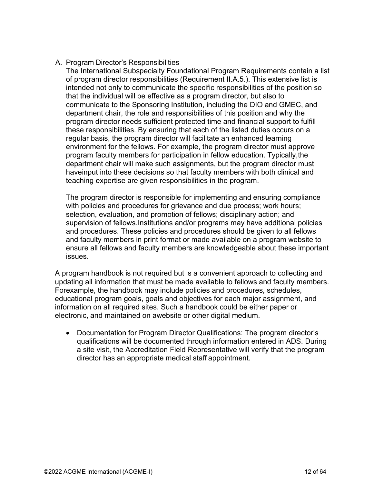#### A. Program Director's Responsibilities

The International Subspecialty Foundational Program Requirements contain a list of program director responsibilities (Requirement II.A.5.). This extensive list is intended not only to communicate the specific responsibilities of the position so that the individual will be effective as a program director, but also to communicate to the Sponsoring Institution, including the DIO and GMEC, and department chair, the role and responsibilities of this position and why the program director needs sufficient protected time and financial support to fulfill these responsibilities. By ensuring that each of the listed duties occurs on a regular basis, the program director will facilitate an enhanced learning environment for the fellows. For example, the program director must approve program faculty members for participation in fellow education. Typically,the department chair will make such assignments, but the program director must haveinput into these decisions so that faculty members with both clinical and teaching expertise are given responsibilities in the program.

The program director is responsible for implementing and ensuring compliance with policies and procedures for grievance and due process; work hours; selection, evaluation, and promotion of fellows; disciplinary action; and supervision of fellows.Institutions and/or programs may have additional policies and procedures. These policies and procedures should be given to all fellows and faculty members in print format or made available on a program website to ensure all fellows and faculty members are knowledgeable about these important issues.

A program handbook is not required but is a convenient approach to collecting and updating all information that must be made available to fellows and faculty members. Forexample, the handbook may include policies and procedures, schedules, educational program goals, goals and objectives for each major assignment, and information on all required sites. Such a handbook could be either paper or electronic, and maintained on awebsite or other digital medium.

• Documentation for Program Director Qualifications: The program director's qualifications will be documented through information entered in ADS. During a site visit, the Accreditation Field Representative will verify that the program director has an appropriate medical staff appointment.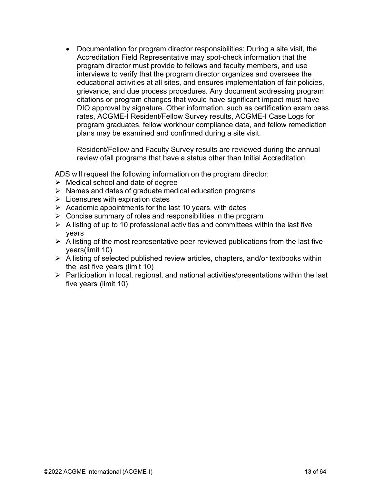• Documentation for program director responsibilities: During a site visit, the Accreditation Field Representative may spot-check information that the program director must provide to fellows and faculty members, and use interviews to verify that the program director organizes and oversees the educational activities at all sites, and ensures implementation of fair policies, grievance, and due process procedures. Any document addressing program citations or program changes that would have significant impact must have DIO approval by signature. Other information, such as certification exam pass rates, ACGME-I Resident/Fellow Survey results, ACGME-I Case Logs for program graduates, fellow workhour compliance data, and fellow remediation plans may be examined and confirmed during a site visit.

Resident/Fellow and Faculty Survey results are reviewed during the annual review ofall programs that have a status other than Initial Accreditation.

ADS will request the following information on the program director:

- $\triangleright$  Medical school and date of degree
- $\triangleright$  Names and dates of graduate medical education programs
- $\triangleright$  Licensures with expiration dates
- $\triangleright$  Academic appointments for the last 10 years, with dates
- $\triangleright$  Concise summary of roles and responsibilities in the program
- $\triangleright$  A listing of up to 10 professional activities and committees within the last five years
- $\triangleright$  A listing of the most representative peer-reviewed publications from the last five years(limit 10)
- $\triangleright$  A listing of selected published review articles, chapters, and/or textbooks within the last five years (limit 10)
- $\triangleright$  Participation in local, regional, and national activities/presentations within the last five years (limit 10)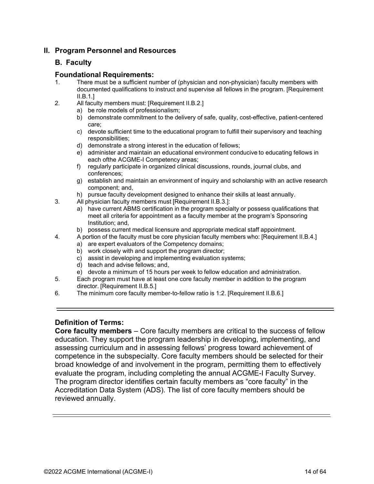#### **II. Program Personnel and Resources**

#### **B. Faculty**

#### **Foundational Requirements:**

- 1. There must be a sufficient number of (physician and non-physician) faculty members with documented qualifications to instruct and supervise all fellows in the program. [Requirement  $II.B.1.$ ]
- 2. All faculty members must: [Requirement II.B.2.]
	- a) be role models of professionalism;
	- b) demonstrate commitment to the delivery of safe, quality, cost-effective, patient-centered care;
	- c) devote sufficient time to the educational program to fulfill their supervisory and teaching responsibilities;
	- d) demonstrate a strong interest in the education of fellows;
	- e) administer and maintain an educational environment conducive to educating fellows in each ofthe ACGME-I Competency areas;
	- f) regularly participate in organized clinical discussions, rounds, journal clubs, and conferences;
	- g) establish and maintain an environment of inquiry and scholarship with an active research component; and,
	- h) pursue faculty development designed to enhance their skills at least annually.
- 3. All physician faculty members must [Requirement II.B.3.]:
	- a) have current ABMS certification in the program specialty or possess qualifications that meet all criteria for appointment as a faculty member at the program's Sponsoring Institution; and,
	- b) possess current medical licensure and appropriate medical staff appointment.
- 4. A portion of the faculty must be core physician faculty members who: [Requirement II.B.4.]
	- a) are expert evaluators of the Competency domains;
	- b) work closely with and support the program director;
	- c) assist in developing and implementing evaluation systems;
	- d) teach and advise fellows; and,
	- e) devote a minimum of 15 hours per week to fellow education and administration.
- 5. Each program must have at least one core faculty member in addition to the program director. [Requirement II.B.5.]
- 6. The minimum core faculty member-to-fellow ratio is 1:2. [Requirement II.B.6.]

#### <span id="page-13-0"></span>**Definition of Terms:**

**Core faculty members** – Core faculty members are critical to the success of fellow education. They support the program leadership in developing, implementing, and assessing curriculum and in assessing fellows' progress toward achievement of competence in the subspecialty. Core faculty members should be selected for their broad knowledge of and involvement in the program, permitting them to effectively evaluate the program, including completing the annual ACGME-I Faculty Survey. The program director identifies certain faculty members as "core faculty" in the Accreditation Data System (ADS). The list of core faculty members should be reviewed annually.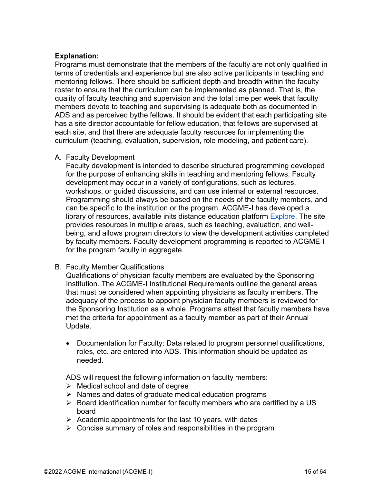#### <span id="page-14-0"></span>**Explanation:**

Programs must demonstrate that the members of the faculty are not only qualified in terms of credentials and experience but are also active participants in teaching and mentoring fellows. There should be sufficient depth and breadth within the faculty roster to ensure that the curriculum can be implemented as planned. That is, the quality of faculty teaching and supervision and the total time per week that faculty members devote to teaching and supervising is adequate both as documented in ADS and as perceived bythe fellows. It should be evident that each participating site has a site director accountable for fellow education, that fellows are supervised at each site, and that there are adequate faculty resources for implementing the curriculum (teaching, evaluation, supervision, role modeling, and patient care).

#### <span id="page-14-1"></span>A. Faculty Development

Faculty development is intended to describe structured programming developed for the purpose of enhancing skills in teaching and mentoring fellows. Faculty development may occur in a variety of configurations, such as lectures, workshops, or guided discussions, and can use internal or external resources. Programming should always be based on the needs of the faculty members, and can be specific to the institution or the program. ACGME-I has developed a library of resources, available inits distance education platform [Explore.](https://dl.acgme.org/acgme-international) The site provides resources in multiple areas, such as teaching, evaluation, and wellbeing, and allows program directors to view the development activities completed by faculty members. Faculty development programming is reported to ACGME-I for the program faculty in aggregate.

#### B. Faculty Member Qualifications

Qualifications of physician faculty members are evaluated by the Sponsoring Institution. The ACGME-I Institutional Requirements outline the general areas that must be considered when appointing physicians as faculty members. The adequacy of the process to appoint physician faculty members is reviewed for the Sponsoring Institution as a whole. Programs attest that faculty members have met the criteria for appointment as a faculty member as part of their Annual Update.

• Documentation for Faculty: Data related to program personnel qualifications, roles, etc. are entered into ADS. This information should be updated as needed.

ADS will request the following information on faculty members:

- $\triangleright$  Medical school and date of degree
- $\triangleright$  Names and dates of graduate medical education programs
- $\triangleright$  Board identification number for faculty members who are certified by a US board
- $\triangleright$  Academic appointments for the last 10 years, with dates
- $\triangleright$  Concise summary of roles and responsibilities in the program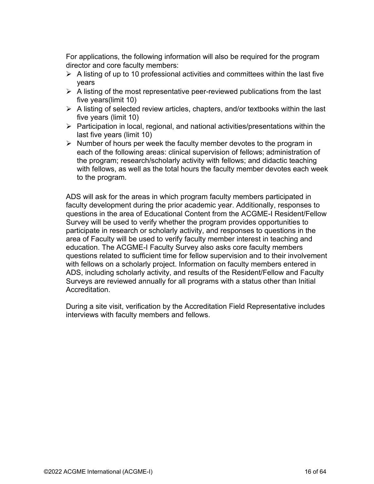For applications, the following information will also be required for the program director and core faculty members:

- $\triangleright$  A listing of up to 10 professional activities and committees within the last five years
- $\triangleright$  A listing of the most representative peer-reviewed publications from the last five years(limit 10)
- $\triangleright$  A listing of selected review articles, chapters, and/or textbooks within the last five years (limit 10)
- $\triangleright$  Participation in local, regional, and national activities/presentations within the last five years (limit 10)
- $\triangleright$  Number of hours per week the faculty member devotes to the program in each of the following areas: clinical supervision of fellows; administration of the program; research/scholarly activity with fellows; and didactic teaching with fellows, as well as the total hours the faculty member devotes each week to the program.

ADS will ask for the areas in which program faculty members participated in faculty development during the prior academic year. Additionally, responses to questions in the area of Educational Content from the ACGME-I Resident/Fellow Survey will be used to verify whether the program provides opportunities to participate in research or scholarly activity, and responses to questions in the area of Faculty will be used to verify faculty member interest in teaching and education. The ACGME-I Faculty Survey also asks core faculty members questions related to sufficient time for fellow supervision and to their involvement with fellows on a scholarly project. Information on faculty members entered in ADS, including scholarly activity, and results of the Resident/Fellow and Faculty Surveys are reviewed annually for all programs with a status other than Initial Accreditation.

During a site visit, verification by the Accreditation Field Representative includes interviews with faculty members and fellows.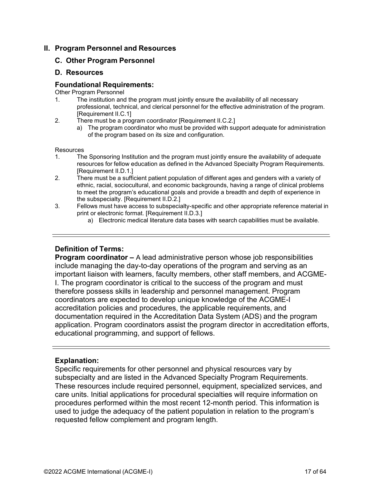#### <span id="page-16-0"></span>**II. Program Personnel and Resources**

#### **C. Other Program Personnel**

#### **D. Resources**

#### **Foundational Requirements:**

Other Program Personnel

- 1. The institution and the program must jointly ensure the availability of all necessary professional, technical, and clerical personnel for the effective administration of the program. [Requirement II.C.1]
- 2. There must be a program coordinator [Requirement II.C.2.]
	- a) The program coordinator who must be provided with support adequate for administration of the program based on its size and configuration.

#### **Resources**

- 1. The Sponsoring Institution and the program must jointly ensure the availability of adequate resources for fellow education as defined in the Advanced Specialty Program Requirements. [Requirement II.D.1.]
- 2. There must be a sufficient patient population of different ages and genders with a variety of ethnic, racial, sociocultural, and economic backgrounds, having a range of clinical problems to meet the program's educational goals and provide a breadth and depth of experience in the subspecialty. [Requirement II.D.2.]
- 3. Fellows must have access to subspecialty-specific and other appropriate reference material in print or electronic format. [Requirement II.D.3.]
	- a) Electronic medical literature data bases with search capabilities must be available.

#### <span id="page-16-1"></span>**Definition of Terms:**

**Program coordinator –** A lead administrative person whose job responsibilities include managing the day-to-day operations of the program and serving as an important liaison with learners, faculty members, other staff members, and ACGME-I. The program coordinator is critical to the success of the program and must therefore possess skills in leadership and personnel management. Program coordinators are expected to develop unique knowledge of the ACGME-I accreditation policies and procedures, the applicable requirements, and documentation required in the Accreditation Data System (ADS) and the program application. Program coordinators assist the program director in accreditation efforts, educational programming, and support of fellows.

#### <span id="page-16-2"></span>**Explanation:**

Specific requirements for other personnel and physical resources vary by subspecialty and are listed in the Advanced Specialty Program Requirements. These resources include required personnel, equipment, specialized services, and care units. Initial applications for procedural specialties will require information on procedures performed within the most recent 12-month period. This information is used to judge the adequacy of the patient population in relation to the program's requested fellow complement and program length.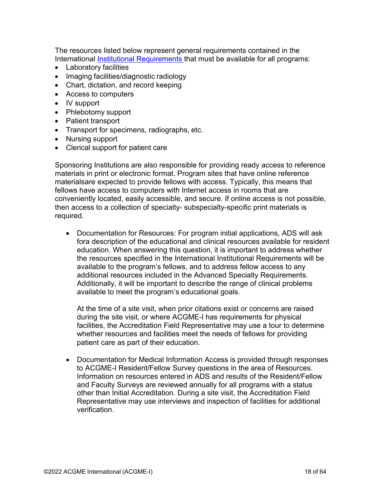The resources listed below represent general requirements contained in the International [Institutional Requirements t](https://www.acgme-i.org/Portals/0/InternationalInstitutionalRequirements.pdf?ver=2021-03-23-094828-590)hat must be available for all programs:

- Laboratory facilities
- Imaging facilities/diagnostic radiology
- Chart, dictation, and record keeping
- Access to computers
- IV support
- Phlebotomy support
- Patient transport
- Transport for specimens, radiographs, etc.
- Nursing support
- Clerical support for patient care

Sponsoring Institutions are also responsible for providing ready access to reference materials in print or electronic format. Program sites that have online reference materialsare expected to provide fellows with access. Typically, this means that fellows have access to computers with Internet access in rooms that are conveniently located, easily accessible, and secure. If online access is not possible, then access to a collection of specialty- subspecialty-specific print materials is required.

• Documentation for Resources: For program initial applications, ADS will ask fora description of the educational and clinical resources available for resident education. When answering this question, it is important to address whether the resources specified in the International Institutional Requirements will be available to the program's fellows, and to address fellow access to any additional resources included in the Advanced Specialty Requirements. Additionally, it will be important to describe the range of clinical problems available to meet the program's educational goals.

At the time of a site visit, when prior citations exist or concerns are raised during the site visit, or where ACGME-I has requirements for physical facilities, the Accreditation Field Representative may use a tour to determine whether resources and facilities meet the needs of fellows for providing patient care as part of their education.

• Documentation for Medical Information Access is provided through responses to ACGME-I Resident/Fellow Survey questions in the area of Resources. Information on resources entered in ADS and results of the Resident/Fellow and Faculty Surveys are reviewed annually for all programs with a status other than Initial Accreditation. During a site visit, the Accreditation Field Representative may use interviews and inspection of facilities for additional verification.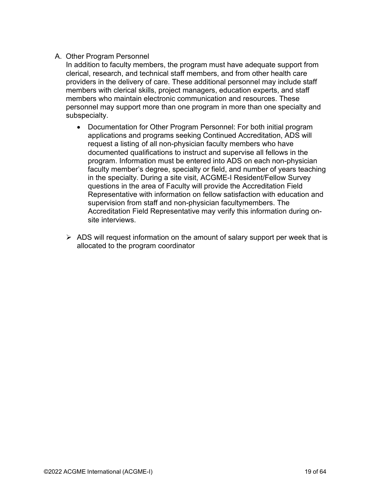#### A. Other Program Personnel

In addition to faculty members, the program must have adequate support from clerical, research, and technical staff members, and from other health care providers in the delivery of care. These additional personnel may include staff members with clerical skills, project managers, education experts, and staff members who maintain electronic communication and resources. These personnel may support more than one program in more than one specialty and subspecialty.

- Documentation for Other Program Personnel: For both initial program applications and programs seeking Continued Accreditation, ADS will request a listing of all non-physician faculty members who have documented qualifications to instruct and supervise all fellows in the program. Information must be entered into ADS on each non-physician faculty member's degree, specialty or field, and number of years teaching in the specialty. During a site visit, ACGME-I Resident/Fellow Survey questions in the area of Faculty will provide the Accreditation Field Representative with information on fellow satisfaction with education and supervision from staff and non-physician facultymembers. The Accreditation Field Representative may verify this information during onsite interviews.
- $\triangleright$  ADS will request information on the amount of salary support per week that is allocated to the program coordinator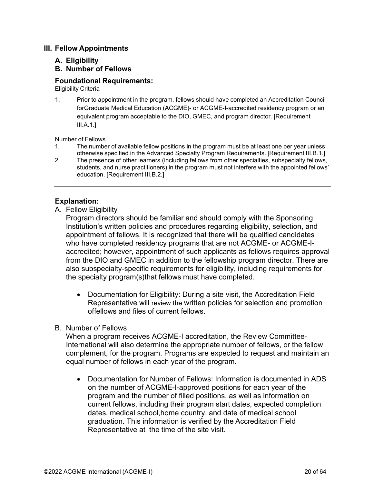#### **III. Fellow Appointments**

#### **A. Eligibility**

#### **B. Number of Fellows**

#### **Foundational Requirements:**

Eligibility Criteria

1. Prior to appointment in the program, fellows should have completed an Accreditation Council forGraduate Medical Education (ACGME)- or ACGME-I-accredited residency program or an equivalent program acceptable to the DIO, GMEC, and program director. [Requirement III.A.1.]

Number of Fellows

- 1. The number of available fellow positions in the program must be at least one per year unless otherwise specified in the Advanced Specialty Program Requirements. [Requirement III.B.1.]
- 2. The presence of other learners (including fellows from other specialties, subspecialty fellows, students, and nurse practitioners) in the program must not interfere with the appointed fellows' education. [Requirement III.B.2.]

#### <span id="page-19-0"></span>**Explanation:**

A. Fellow Eligibility

Program directors should be familiar and should comply with the Sponsoring Institution's written policies and procedures regarding eligibility, selection, and appointment of fellows. It is recognized that there will be qualified candidates who have completed residency programs that are not ACGME- or ACGME-Iaccredited; however, appointment of such applicants as fellows requires approval from the DIO and GMEC in addition to the fellowship program director. There are also subspecialty-specific requirements for eligibility, including requirements for the specialty program(s)that fellows must have completed.

• Documentation for Eligibility: During a site visit, the Accreditation Field Representative will review the written policies for selection and promotion offellows and files of current fellows.

#### B. Number of Fellows

When a program receives ACGME-I accreditation, the Review Committee-International will also determine the appropriate number of fellows, or the fellow complement, for the program. Programs are expected to request and maintain an equal number of fellows in each year of the program.

• Documentation for Number of Fellows: Information is documented in ADS on the number of ACGME-I-approved positions for each year of the program and the number of filled positions, as well as information on current fellows, including their program start dates, expected completion dates, medical school,home country, and date of medical school graduation. This information is verified by the Accreditation Field Representative at the time of the site visit.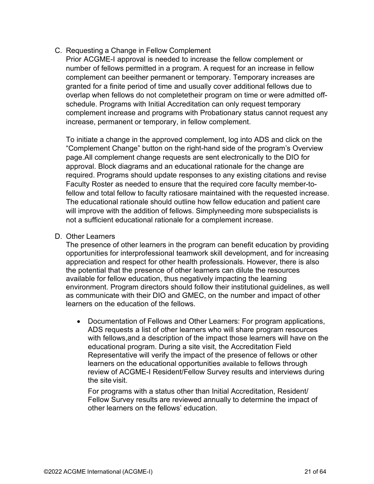C. Requesting a Change in Fellow Complement

Prior ACGME-I approval is needed to increase the fellow complement or number of fellows permitted in a program. A request for an increase in fellow complement can beeither permanent or temporary. Temporary increases are granted for a finite period of time and usually cover additional fellows due to overlap when fellows do not completetheir program on time or were admitted offschedule. Programs with Initial Accreditation can only request temporary complement increase and programs with Probationary status cannot request any increase, permanent or temporary, in fellow complement.

To initiate a change in the approved complement, log into ADS and click on the "Complement Change" button on the right-hand side of the program's Overview page.All complement change requests are sent electronically to the DIO for approval. Block diagrams and an educational rationale for the change are required. Programs should update responses to any existing citations and revise Faculty Roster as needed to ensure that the required core faculty member-tofellow and total fellow to faculty ratiosare maintained with the requested increase. The educational rationale should outline how fellow education and patient care will improve with the addition of fellows. Simplyneeding more subspecialists is not a sufficient educational rationale for a complement increase.

#### D. Other Learners

The presence of other learners in the program can benefit education by providing opportunities for interprofessional teamwork skill development, and for increasing appreciation and respect for other health professionals. However, there is also the potential that the presence of other learners can dilute the resources available for fellow education, thus negatively impacting the learning environment. Program directors should follow their institutional guidelines, as well as communicate with their DIO and GMEC, on the number and impact of other learners on the education of the fellows.

• Documentation of Fellows and Other Learners: For program applications, ADS requests a list of other learners who will share program resources with fellows,and a description of the impact those learners will have on the educational program. During a site visit, the Accreditation Field Representative will verify the impact of the presence of fellows or other learners on the educational opportunities available to fellows through review of ACGME-I Resident/Fellow Survey results and interviews during the site visit.

For programs with a status other than Initial Accreditation, Resident/ Fellow Survey results are reviewed annually to determine the impact of other learners on the fellows' education.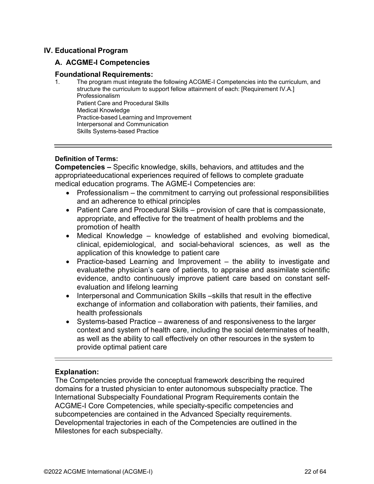#### <span id="page-21-0"></span>**IV. Educational Program**

#### **A. ACGME-I Competencies**

#### **Foundational Requirements:**

1. The program must integrate the following ACGME-I Competencies into the curriculum, and structure the curriculum to support fellow attainment of each: [Requirement IV.A.] Professionalism Patient Care and Procedural Skills Medical Knowledge Practice-based Learning and Improvement Interpersonal and Communication Skills Systems-based Practice

#### <span id="page-21-1"></span>**Definition of Terms:**

**Competencies –** Specific knowledge, skills, behaviors, and attitudes and the appropriateeducational experiences required of fellows to complete graduate medical education programs. The AGME-I Competencies are:

- Professionalism the commitment to carrying out professional responsibilities and an adherence to ethical principles
- Patient Care and Procedural Skills provision of care that is compassionate, appropriate, and effective for the treatment of health problems and the promotion of health
- Medical Knowledge knowledge of established and evolving biomedical, clinical, epidemiological, and social-behavioral sciences, as well as the application of this knowledge to patient care
- Practice-based Learning and Improvement the ability to investigate and evaluatethe physician's care of patients, to appraise and assimilate scientific evidence, andto continuously improve patient care based on constant selfevaluation and lifelong learning
- Interpersonal and Communication Skills –skills that result in the effective exchange of information and collaboration with patients, their families, and health professionals
- Systems-based Practice awareness of and responsiveness to the larger context and system of health care, including the social determinates of health, as well as the ability to call effectively on other resources in the system to provide optimal patient care

#### <span id="page-21-2"></span>**Explanation:**

The Competencies provide the conceptual framework describing the required domains for a trusted physician to enter autonomous subspecialty practice. The International Subspecialty Foundational Program Requirements contain the ACGME-I Core Competencies, while specialty-specific competencies and subcompetencies are contained in the Advanced Specialty requirements. Developmental trajectories in each of the Competencies are outlined in the Milestones for each subspecialty.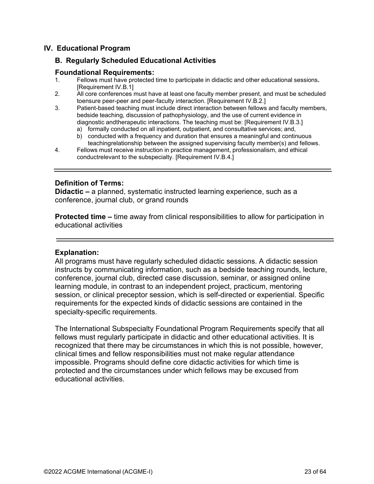#### <span id="page-22-0"></span>**IV. Educational Program**

#### **B. Regularly Scheduled Educational Activities**

## **Foundational Requirements:**

- 1. Fellows must have protected time to participate in didactic and other educational sessions**.** [Requirement IV.B.1]
- 2. All core conferences must have at least one faculty member present, and must be scheduled toensure peer-peer and peer-faculty interaction. [Requirement IV.B.2.]
- 3. Patient-based teaching must include direct interaction between fellows and faculty members, bedside teaching, discussion of pathophysiology, and the use of current evidence in diagnostic andtherapeutic interactions. The teaching must be: [Requirement IV.B.3.]
	- a) formally conducted on all inpatient, outpatient, and consultative services; and,
	- b) conducted with a frequency and duration that ensures a meaningful and continuous teachingrelationship between the assigned supervising faculty member(s) and fellows.
- 4. Fellows must receive instruction in practice management, professionalism, and ethical conductrelevant to the subspecialty. [Requirement IV.B.4.]

#### <span id="page-22-1"></span>**Definition of Terms:**

**Didactic –** a planned, systematic instructed learning experience, such as a conference, journal club, or grand rounds

**Protected time –** time away from clinical responsibilities to allow for participation in educational activities

#### <span id="page-22-2"></span>**Explanation:**

All programs must have regularly scheduled didactic sessions. A didactic session instructs by communicating information, such as a bedside teaching rounds, lecture, conference, journal club, directed case discussion, seminar, or assigned online learning module, in contrast to an independent project, practicum, mentoring session, or clinical preceptor session, which is self-directed or experiential. Specific requirements for the expected kinds of didactic sessions are contained in the specialty-specific requirements.

The International Subspecialty Foundational Program Requirements specify that all fellows must regularly participate in didactic and other educational activities. It is recognized that there may be circumstances in which this is not possible, however, clinical times and fellow responsibilities must not make regular attendance impossible. Programs should define core didactic activities for which time is protected and the circumstances under which fellows may be excused from educational activities.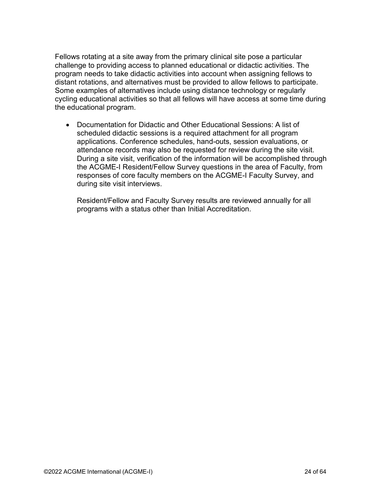Fellows rotating at a site away from the primary clinical site pose a particular challenge to providing access to planned educational or didactic activities. The program needs to take didactic activities into account when assigning fellows to distant rotations, and alternatives must be provided to allow fellows to participate. Some examples of alternatives include using distance technology or regularly cycling educational activities so that all fellows will have access at some time during the educational program.

• Documentation for Didactic and Other Educational Sessions: A list of scheduled didactic sessions is a required attachment for all program applications. Conference schedules, hand-outs, session evaluations, or attendance records may also be requested for review during the site visit. During a site visit, verification of the information will be accomplished through the ACGME-I Resident/Fellow Survey questions in the area of Faculty, from responses of core faculty members on the ACGME-I Faculty Survey, and during site visit interviews.

Resident/Fellow and Faculty Survey results are reviewed annually for all programs with a status other than Initial Accreditation.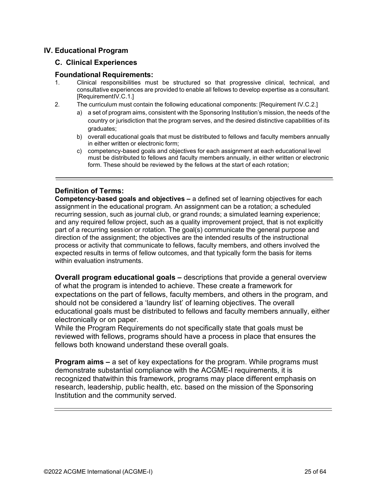#### <span id="page-24-0"></span>**IV. Educational Program**

#### **C. Clinical Experiences**

#### **Foundational Requirements:**

- 1. Clinical responsibilities must be structured so that progressive clinical, technical, and consultative experiences are provided to enable all fellows to develop expertise as a consultant. [RequirementIV.C.1.]
- 2. The curriculum must contain the following educational components: [Requirement IV.C.2.]
	- a) a set of program aims, consistent with the Sponsoring Institution's mission, the needs of the country or jurisdiction that the program serves, and the desired distinctive capabilities of its graduates;
	- b) overall educational goals that must be distributed to fellows and faculty members annually in either written or electronic form;
	- c) competency-based goals and objectives for each assignment at each educational level must be distributed to fellows and faculty members annually, in either written or electronic form. These should be reviewed by the fellows at the start of each rotation;

#### <span id="page-24-1"></span>**Definition of Terms:**

**Competency-based goals and objectives –** a defined set of learning objectives for each assignment in the educational program. An assignment can be a rotation; a scheduled recurring session, such as journal club, or grand rounds; a simulated learning experience; and any required fellow project, such as a quality improvement project, that is not explicitly part of a recurring session or rotation. The goal(s) communicate the general purpose and direction of the assignment; the objectives are the intended results of the instructional process or activity that communicate to fellows, faculty members, and others involved the expected results in terms of fellow outcomes, and that typically form the basis for items within evaluation instruments.

**Overall program educational goals –** descriptions that provide a general overview of what the program is intended to achieve. These create a framework for expectations on the part of fellows, faculty members, and others in the program, and should not be considered a 'laundry list' of learning objectives. The overall educational goals must be distributed to fellows and faculty members annually, either electronically or on paper.

While the Program Requirements do not specifically state that goals must be reviewed with fellows, programs should have a process in place that ensures the fellows both knowand understand these overall goals.

**Program aims –** a set of key expectations for the program. While programs must demonstrate substantial compliance with the ACGME-I requirements, it is recognized thatwithin this framework, programs may place different emphasis on research, leadership, public health, etc. based on the mission of the Sponsoring Institution and the community served.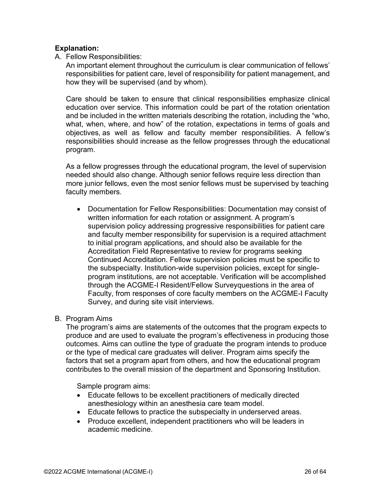#### <span id="page-25-0"></span>**Explanation:**

A. Fellow Responsibilities:

An important element throughout the curriculum is clear communication of fellows' responsibilities for patient care, level of responsibility for patient management, and how they will be supervised (and by whom).

Care should be taken to ensure that clinical responsibilities emphasize clinical education over service. This information could be part of the rotation orientation and be included in the written materials describing the rotation, including the "who, what, when, where, and how" of the rotation, expectations in terms of goals and objectives, as well as fellow and faculty member responsibilities. A fellow's responsibilities should increase as the fellow progresses through the educational program.

As a fellow progresses through the educational program, the level of supervision needed should also change. Although senior fellows require less direction than more junior fellows, even the most senior fellows must be supervised by teaching faculty members.

- Documentation for Fellow Responsibilities: Documentation may consist of written information for each rotation or assignment. A program's supervision policy addressing progressive responsibilities for patient care and faculty member responsibility for supervision is a required attachment to initial program applications, and should also be available for the Accreditation Field Representative to review for programs seeking Continued Accreditation. Fellow supervision policies must be specific to the subspecialty. Institution-wide supervision policies, except for singleprogram institutions, are not acceptable. Verification will be accomplished through the ACGME-I Resident/Fellow Surveyquestions in the area of Faculty, from responses of core faculty members on the ACGME-I Faculty Survey, and during site visit interviews.
- B. Program Aims

The program's aims are statements of the outcomes that the program expects to produce and are used to evaluate the program's effectiveness in producing those outcomes. Aims can outline the type of graduate the program intends to produce or the type of medical care graduates will deliver. Program aims specify the factors that set a program apart from others, and how the educational program contributes to the overall mission of the department and Sponsoring Institution.

Sample program aims:

- Educate fellows to be excellent practitioners of medically directed anesthesiology within an anesthesia care team model.
- Educate fellows to practice the subspecialty in underserved areas.
- Produce excellent, independent practitioners who will be leaders in academic medicine.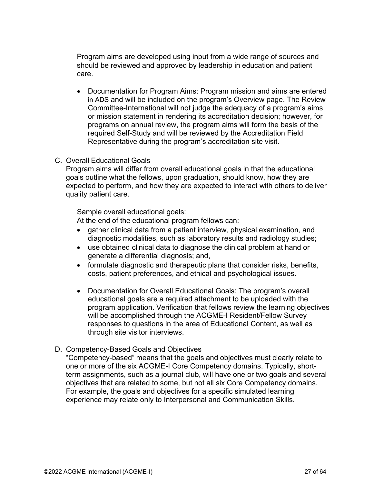Program aims are developed using input from a wide range of sources and should be reviewed and approved by leadership in education and patient care.

• Documentation for Program Aims: Program mission and aims are entered in ADS and will be included on the program's Overview page. The Review Committee-International will not judge the adequacy of a program's aims or mission statement in rendering its accreditation decision; however, for programs on annual review, the program aims will form the basis of the required Self-Study and will be reviewed by the Accreditation Field Representative during the program's accreditation site visit.

#### C. Overall Educational Goals

Program aims will differ from overall educational goals in that the educational goals outline what the fellows, upon graduation, should know, how they are expected to perform, and how they are expected to interact with others to deliver quality patient care.

Sample overall educational goals:

At the end of the educational program fellows can:

- gather clinical data from a patient interview, physical examination, and diagnostic modalities, such as laboratory results and radiology studies;
- use obtained clinical data to diagnose the clinical problem at hand or generate a differential diagnosis; and,
- formulate diagnostic and therapeutic plans that consider risks, benefits, costs, patient preferences, and ethical and psychological issues.
- Documentation for Overall Educational Goals: The program's overall educational goals are a required attachment to be uploaded with the program application. Verification that fellows review the learning objectives will be accomplished through the ACGME-I Resident/Fellow Survey responses to questions in the area of Educational Content, as well as through site visitor interviews.

#### D. Competency-Based Goals and Objectives

"Competency-based" means that the goals and objectives must clearly relate to one or more of the six ACGME-I Core Competency domains. Typically, shortterm assignments, such as a journal club, will have one or two goals and several objectives that are related to some, but not all six Core Competency domains. For example, the goals and objectives for a specific simulated learning experience may relate only to Interpersonal and Communication Skills.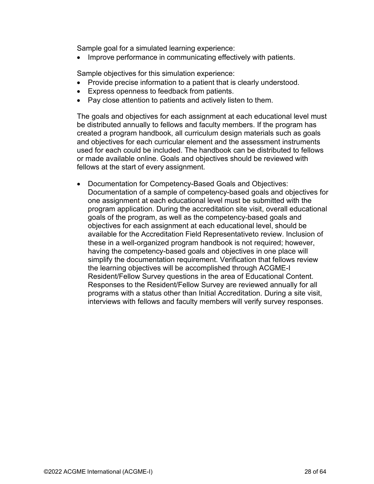Sample goal for a simulated learning experience:

• Improve performance in communicating effectively with patients.

Sample objectives for this simulation experience:

- Provide precise information to a patient that is clearly understood.
- Express openness to feedback from patients.
- Pay close attention to patients and actively listen to them.

The goals and objectives for each assignment at each educational level must be distributed annually to fellows and faculty members. If the program has created a program handbook, all curriculum design materials such as goals and objectives for each curricular element and the assessment instruments used for each could be included. The handbook can be distributed to fellows or made available online. Goals and objectives should be reviewed with fellows at the start of every assignment.

• Documentation for Competency-Based Goals and Objectives: Documentation of a sample of competency-based goals and objectives for one assignment at each educational level must be submitted with the program application. During the accreditation site visit, overall educational goals of the program, as well as the competency-based goals and objectives for each assignment at each educational level, should be available for the Accreditation Field Representativeto review. Inclusion of these in a well-organized program handbook is not required; however, having the competency-based goals and objectives in one place will simplify the documentation requirement. Verification that fellows review the learning objectives will be accomplished through ACGME-I Resident/Fellow Survey questions in the area of Educational Content. Responses to the Resident/Fellow Survey are reviewed annually for all programs with a status other than Initial Accreditation. During a site visit, interviews with fellows and faculty members will verify survey responses.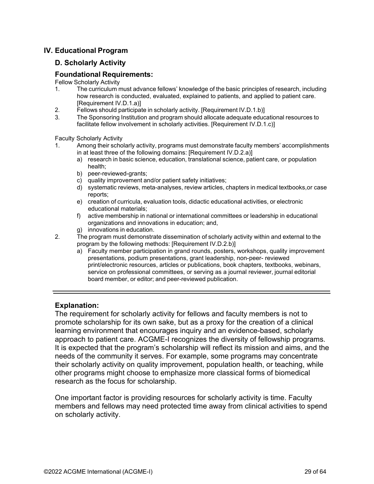#### <span id="page-28-0"></span>**IV. Educational Program**

#### **D. Scholarly Activity**

#### **Foundational Requirements:**

Fellow Scholarly Activity

- 1. The curriculum must advance fellows' knowledge of the basic principles of research, including how research is conducted, evaluated, explained to patients, and applied to patient care. [Requirement IV.D.1.a)]
- 2. Fellows should participate in scholarly activity. [Requirement IV.D.1.b)]
- 3. The Sponsoring Institution and program should allocate adequate educational resources to facilitate fellow involvement in scholarly activities. [Requirement IV.D.1.c)]

Faculty Scholarly Activity

- 1. Among their scholarly activity, programs must demonstrate faculty members' accomplishments in at least three of the following domains: [Requirement IV.D.2.a)]
	- a) research in basic science, education, translational science, patient care, or population health;
	- b) peer-reviewed-grants;
	- c) quality improvement and/or patient safety initiatives;
	- d) systematic reviews, meta-analyses, review articles, chapters in medical textbooks,or case reports;
	- e) creation of curricula, evaluation tools, didactic educational activities, or electronic educational materials;
	- f) active membership in national or international committees or leadership in educational organizations and innovations in education; and,
	- g) innovations in education.
- 2. The program must demonstrate dissemination of scholarly activity within and external to the program by the following methods: [Requirement IV.D.2.b)]
	- a) Faculty member participation in grand rounds, posters, workshops, quality improvement presentations, podium presentations, grant leadership, non-peer- reviewed print/electronic resources, articles or publications, book chapters, textbooks, webinars, service on professional committees, or serving as a journal reviewer, journal editorial board member, or editor; and peer-reviewed publication.

#### <span id="page-28-1"></span>**Explanation:**

The requirement for scholarly activity for fellows and faculty members is not to promote scholarship for its own sake, but as a proxy for the creation of a clinical learning environment that encourages inquiry and an evidence-based, scholarly approach to patient care. ACGME-I recognizes the diversity of fellowship programs. It is expected that the program's scholarship will reflect its mission and aims, and the needs of the community it serves. For example, some programs may concentrate their scholarly activity on quality improvement, population health, or teaching, while other programs might choose to emphasize more classical forms of biomedical research as the focus for scholarship.

One important factor is providing resources for scholarly activity is time. Faculty members and fellows may need protected time away from clinical activities to spend on scholarly activity.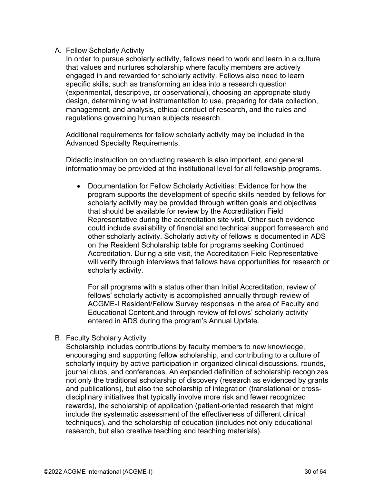#### A. Fellow Scholarly Activity

In order to pursue scholarly activity, fellows need to work and learn in a culture that values and nurtures scholarship where faculty members are actively engaged in and rewarded for scholarly activity. Fellows also need to learn specific skills, such as transforming an idea into a research question (experimental, descriptive, or observational), choosing an appropriate study design, determining what instrumentation to use, preparing for data collection, management, and analysis, ethical conduct of research, and the rules and regulations governing human subjects research.

Additional requirements for fellow scholarly activity may be included in the Advanced Specialty Requirements.

Didactic instruction on conducting research is also important, and general informationmay be provided at the institutional level for all fellowship programs.

• Documentation for Fellow Scholarly Activities: Evidence for how the program supports the development of specific skills needed by fellows for scholarly activity may be provided through written goals and objectives that should be available for review by the Accreditation Field Representative during the accreditation site visit. Other such evidence could include availability of financial and technical support forresearch and other scholarly activity. Scholarly activity of fellows is documented in ADS on the Resident Scholarship table for programs seeking Continued Accreditation. During a site visit, the Accreditation Field Representative will verify through interviews that fellows have opportunities for research or scholarly activity.

For all programs with a status other than Initial Accreditation, review of fellows' scholarly activity is accomplished annually through review of ACGME-I Resident/Fellow Survey responses in the area of Faculty and Educational Content,and through review of fellows' scholarly activity entered in ADS during the program's Annual Update.

#### B. Faculty Scholarly Activity

Scholarship includes contributions by faculty members to new knowledge, encouraging and supporting fellow scholarship, and contributing to a culture of scholarly inquiry by active participation in organized clinical discussions, rounds, journal clubs, and conferences. An expanded definition of scholarship recognizes not only the traditional scholarship of discovery (research as evidenced by grants and publications), but also the scholarship of integration (translational or crossdisciplinary initiatives that typically involve more risk and fewer recognized rewards), the scholarship of application (patient-oriented research that might include the systematic assessment of the effectiveness of different clinical techniques), and the scholarship of education (includes not only educational research, but also creative teaching and teaching materials).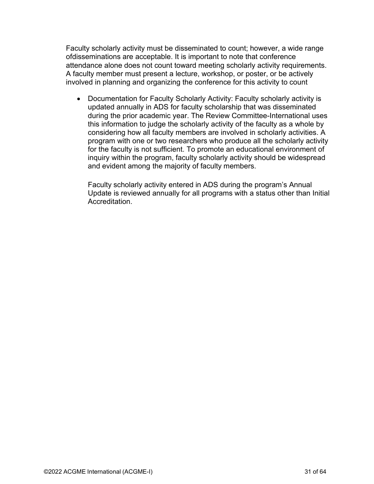Faculty scholarly activity must be disseminated to count; however, a wide range ofdisseminations are acceptable. It is important to note that conference attendance alone does not count toward meeting scholarly activity requirements. A faculty member must present a lecture, workshop, or poster, or be actively involved in planning and organizing the conference for this activity to count

• Documentation for Faculty Scholarly Activity: Faculty scholarly activity is updated annually in ADS for faculty scholarship that was disseminated during the prior academic year. The Review Committee-International uses this information to judge the scholarly activity of the faculty as a whole by considering how all faculty members are involved in scholarly activities. A program with one or two researchers who produce all the scholarly activity for the faculty is not sufficient. To promote an educational environment of inquiry within the program, faculty scholarly activity should be widespread and evident among the majority of faculty members.

<span id="page-30-0"></span>Faculty scholarly activity entered in ADS during the program's Annual Update is reviewed annually for all programs with a status other than Initial Accreditation.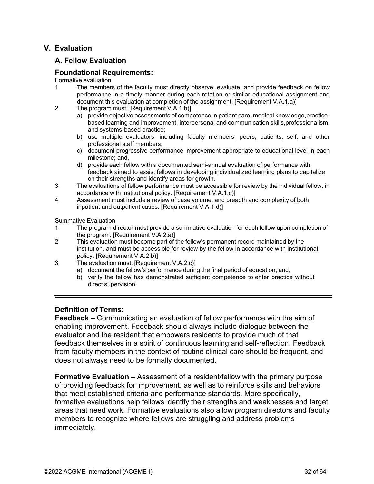#### **V. Evaluation**

#### **A. Fellow Evaluation**

#### **Foundational Requirements:**

Formative evaluation

- 1. The members of the faculty must directly observe, evaluate, and provide feedback on fellow performance in a timely manner during each rotation or similar educational assignment and document this evaluation at completion of the assignment. [Requirement V.A.1.a)]
- 2. The program must: [Requirement V.A.1.b)]
	- a) provide objective assessments of competence in patient care, medical knowledge,practicebased learning and improvement, interpersonal and communication skills,professionalism, and systems-based practice;
	- b) use multiple evaluators, including faculty members, peers, patients, self, and other professional staff members;
	- c) document progressive performance improvement appropriate to educational level in each milestone; and,
	- d) provide each fellow with a documented semi-annual evaluation of performance with feedback aimed to assist fellows in developing individualized learning plans to capitalize on their strengths and identify areas for growth.
- 3. The evaluations of fellow performance must be accessible for review by the individual fellow, in accordance with institutional policy. [Requirement V.A.1.c)]
- 4. Assessment must include a review of case volume, and breadth and complexity of both inpatient and outpatient cases. [Requirement V.A.1.d)]

Summative Evaluation

- 1. The program director must provide a summative evaluation for each fellow upon completion of the program. [Requirement V.A.2.a)]
- 2. This evaluation must become part of the fellow's permanent record maintained by the institution, and must be accessible for review by the fellow in accordance with institutional policy. [Requirement V.A.2.b)]
- 3. The evaluation must: [Requirement V.A.2.c)]
	- a) document the fellow's performance during the final period of education; and,
	- b) verify the fellow has demonstrated sufficient competence to enter practice without direct supervision.

#### <span id="page-31-0"></span>**Definition of Terms:**

**Feedback –** Communicating an evaluation of fellow performance with the aim of enabling improvement. Feedback should always include dialogue between the evaluator and the resident that empowers residents to provide much of that feedback themselves in a spirit of continuous learning and self-reflection. Feedback from faculty members in the context of routine clinical care should be frequent, and does not always need to be formally documented.

**Formative Evaluation –** Assessment of a resident/fellow with the primary purpose of providing feedback for improvement, as well as to reinforce skills and behaviors that meet established criteria and performance standards. More specifically, formative evaluations help fellows identify their strengths and weaknesses and target areas that need work. Formative evaluations also allow program directors and faculty members to recognize where fellows are struggling and address problems immediately.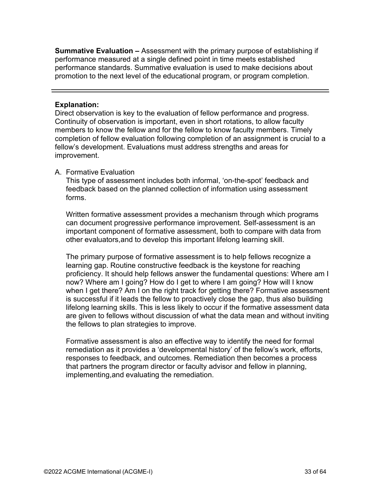**Summative Evaluation –** Assessment with the primary purpose of establishing if performance measured at a single defined point in time meets established performance standards. Summative evaluation is used to make decisions about promotion to the next level of the educational program, or program completion.

#### <span id="page-32-0"></span>**Explanation:**

Direct observation is key to the evaluation of fellow performance and progress. Continuity of observation is important, even in short rotations, to allow faculty members to know the fellow and for the fellow to know faculty members. Timely completion of fellow evaluation following completion of an assignment is crucial to a fellow's development. Evaluations must address strengths and areas for improvement.

#### A. Formative Evaluation

This type of assessment includes both informal, 'on-the-spot' feedback and feedback based on the planned collection of information using assessment forms.

Written formative assessment provides a mechanism through which programs can document progressive performance improvement. Self-assessment is an important component of formative assessment, both to compare with data from other evaluators,and to develop this important lifelong learning skill.

The primary purpose of formative assessment is to help fellows recognize a learning gap. Routine constructive feedback is the keystone for reaching proficiency. It should help fellows answer the fundamental questions: Where am I now? Where am I going? How do I get to where I am going? How will I know when I get there? Am I on the right track for getting there? Formative assessment is successful if it leads the fellow to proactively close the gap, thus also building lifelong learning skills. This is less likely to occur if the formative assessment data are given to fellows without discussion of what the data mean and without inviting the fellows to plan strategies to improve.

Formative assessment is also an effective way to identify the need for formal remediation as it provides a 'developmental history' of the fellow's work, efforts, responses to feedback, and outcomes. Remediation then becomes a process that partners the program director or faculty advisor and fellow in planning, implementing,and evaluating the remediation.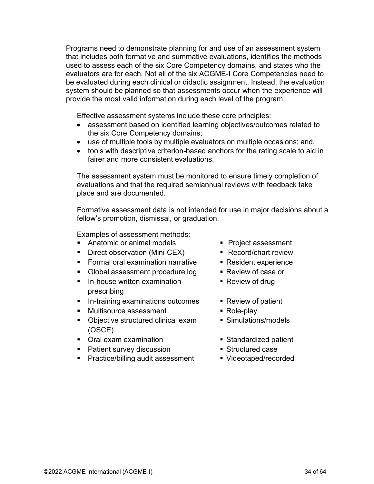Programs need to demonstrate planning for and use of an assessment system that includes both formative and summative evaluations, identifies the methods used to assess each of the six Core Competency domains, and states who the evaluators are for each. Not all of the six ACGME-I Core Competencies need to be evaluated during each clinical or didactic assignment. Instead, the evaluation system should be planned so that assessments occur when the experience will provide the most valid information during each level of the program.

Effective assessment systems include these core principles:

- assessment based on identified learning objectives/outcomes related to the six Core Competency domains;
- use of multiple tools by multiple evaluators on multiple occasions; and,
- tools with descriptive criterion-based anchors for the rating scale to aid in fairer and more consistent evaluations.

The assessment system must be monitored to ensure timely completion of evaluations and that the required semiannual reviews with feedback take place and are documented.

Formative assessment data is not intended for use in major decisions about a fellow's promotion, dismissal, or graduation.

Examples of assessment methods:

- Anatomic or animal models Project assessment
- Direct observation (Mini-CEX) Record/chart review
- Formal oral examination narrative Resident experience
- Global assessment procedure log Review of case or
- In-house written examination Review of drug prescribing
- In-training examinations outcomes Review of patient
- Multisource assessment Role-play
- Objective structured clinical exam Simulations/models (OSCE)
- Oral exam examination **Example 20** Standardized patient
- Patient survey discussion Structured case
- Practice/billing audit assessment Videotaped/recorded
- 
- 
- 
- 
- 
- 
- 
- 
- 
- 
-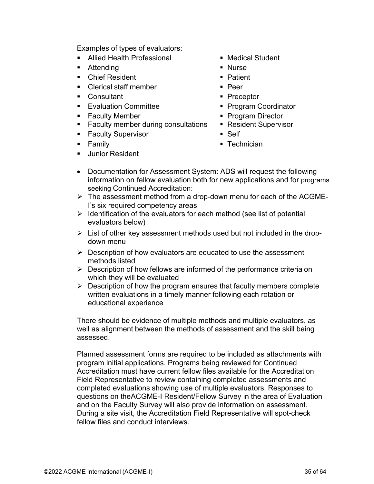Examples of types of evaluators:

- Allied Health Professional Medical Student
- Attending Nurse Nurse
- Chief Resident 
Patient
- Clerical staff member Peer
- Consultant Preceptor
- Evaluation Committee Program Coordinator
- Faculty Member Program Director
- Faculty member during consultations Resident Supervisor
- Faculty Supervisor Self
- 
- **Junior Resident**
- 
- 
- 
- 
- 
- 
- 
- 
- 
- Family **Technician**
- Documentation for Assessment System: ADS will request the following information on fellow evaluation both for new applications and for programs seeking Continued Accreditation:
- $\triangleright$  The assessment method from a drop-down menu for each of the ACGME-I's six required competency areas
- $\triangleright$  Identification of the evaluators for each method (see list of potential evaluators below)
- $\triangleright$  List of other key assessment methods used but not included in the dropdown menu
- $\triangleright$  Description of how evaluators are educated to use the assessment methods listed
- $\triangleright$  Description of how fellows are informed of the performance criteria on which they will be evaluated
- $\triangleright$  Description of how the program ensures that faculty members complete written evaluations in a timely manner following each rotation or educational experience

There should be evidence of multiple methods and multiple evaluators, as well as alignment between the methods of assessment and the skill being assessed.

Planned assessment forms are required to be included as attachments with program initial applications. Programs being reviewed for Continued Accreditation must have current fellow files available for the Accreditation Field Representative to review containing completed assessments and completed evaluations showing use of multiple evaluators. Responses to questions on theACGME-I Resident/Fellow Survey in the area of Evaluation and on the Faculty Survey will also provide information on assessment. During a site visit, the Accreditation Field Representative will spot-check fellow files and conduct interviews.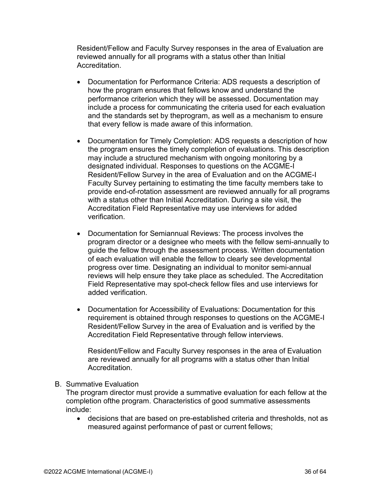Resident/Fellow and Faculty Survey responses in the area of Evaluation are reviewed annually for all programs with a status other than Initial Accreditation.

- Documentation for Performance Criteria: ADS requests a description of how the program ensures that fellows know and understand the performance criterion which they will be assessed. Documentation may include a process for communicating the criteria used for each evaluation and the standards set by theprogram, as well as a mechanism to ensure that every fellow is made aware of this information.
- Documentation for Timely Completion: ADS requests a description of how the program ensures the timely completion of evaluations. This description may include a structured mechanism with ongoing monitoring by a designated individual. Responses to questions on the ACGME-I Resident/Fellow Survey in the area of Evaluation and on the ACGME-I Faculty Survey pertaining to estimating the time faculty members take to provide end-of-rotation assessment are reviewed annually for all programs with a status other than Initial Accreditation. During a site visit, the Accreditation Field Representative may use interviews for added verification.
- Documentation for Semiannual Reviews: The process involves the program director or a designee who meets with the fellow semi-annually to guide the fellow through the assessment process. Written documentation of each evaluation will enable the fellow to clearly see developmental progress over time. Designating an individual to monitor semi-annual reviews will help ensure they take place as scheduled. The Accreditation Field Representative may spot-check fellow files and use interviews for added verification.
- Documentation for Accessibility of Evaluations: Documentation for this requirement is obtained through responses to questions on the ACGME-I Resident/Fellow Survey in the area of Evaluation and is verified by the Accreditation Field Representative through fellow interviews.

Resident/Fellow and Faculty Survey responses in the area of Evaluation are reviewed annually for all programs with a status other than Initial Accreditation.

#### B. Summative Evaluation

The program director must provide a summative evaluation for each fellow at the completion ofthe program. Characteristics of good summative assessments include:

• decisions that are based on pre-established criteria and thresholds, not as measured against performance of past or current fellows;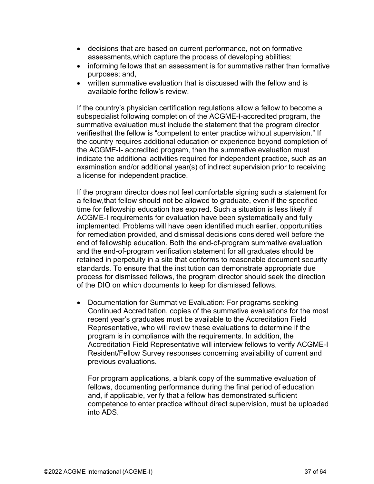- decisions that are based on current performance, not on formative assessments,which capture the process of developing abilities;
- informing fellows that an assessment is for summative rather than formative purposes; and,
- written summative evaluation that is discussed with the fellow and is available forthe fellow's review.

If the country's physician certification regulations allow a fellow to become a subspecialist following completion of the ACGME-I-accredited program, the summative evaluation must include the statement that the program director verifiesthat the fellow is "competent to enter practice without supervision." If the country requires additional education or experience beyond completion of the ACGME-I- accredited program, then the summative evaluation must indicate the additional activities required for independent practice, such as an examination and/or additional year(s) of indirect supervision prior to receiving a license for independent practice.

If the program director does not feel comfortable signing such a statement for a fellow,that fellow should not be allowed to graduate, even if the specified time for fellowship education has expired. Such a situation is less likely if ACGME-I requirements for evaluation have been systematically and fully implemented. Problems will have been identified much earlier, opportunities for remediation provided, and dismissal decisions considered well before the end of fellowship education. Both the end-of-program summative evaluation and the end-of-program verification statement for all graduates should be retained in perpetuity in a site that conforms to reasonable document security standards. To ensure that the institution can demonstrate appropriate due process for dismissed fellows, the program director should seek the direction of the DIO on which documents to keep for dismissed fellows.

• Documentation for Summative Evaluation: For programs seeking Continued Accreditation, copies of the summative evaluations for the most recent year's graduates must be available to the Accreditation Field Representative, who will review these evaluations to determine if the program is in compliance with the requirements. In addition, the Accreditation Field Representative will interview fellows to verify ACGME-I Resident/Fellow Survey responses concerning availability of current and previous evaluations.

For program applications, a blank copy of the summative evaluation of fellows, documenting performance during the final period of education and, if applicable, verify that a fellow has demonstrated sufficient competence to enter practice without direct supervision, must be uploaded into ADS.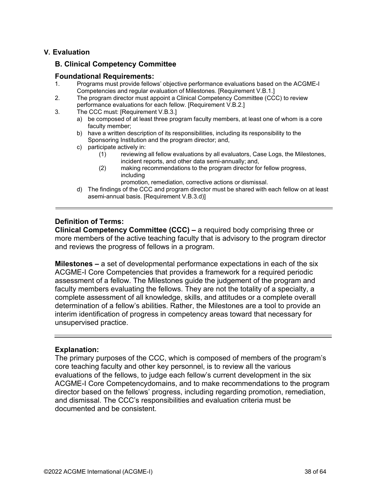#### <span id="page-37-0"></span>**V. Evaluation**

#### **B. Clinical Competency Committee**

#### **Foundational Requirements:**

- 1. Programs must provide fellows' objective performance evaluations based on the ACGME-I Competencies and regular evaluation of Milestones. [Requirement V.B.1.]
- 2. The program director must appoint a Clinical Competency Committee (CCC) to review performance evaluations for each fellow. [Requirement V.B.2.]
- 3. The CCC must: [Requirement V.B.3.]
	- a) be composed of at least three program faculty members, at least one of whom is a core faculty member;
	- b) have a written description of its responsibilities, including its responsibility to the Sponsoring Institution and the program director; and,
	- c) participate actively in:
		- (1) reviewing all fellow evaluations by all evaluators, Case Logs, the Milestones, incident reports, and other data semi-annually; and,
		- (2) making recommendations to the program director for fellow progress, including
			- promotion, remediation, corrective actions or dismissal.
	- d) The findings of the CCC and program director must be shared with each fellow on at least asemi-annual basis. [Requirement V.B.3.d)]

#### <span id="page-37-1"></span>**Definition of Terms:**

**Clinical Competency Committee (CCC) –** a required body comprising three or more members of the active teaching faculty that is advisory to the program director and reviews the progress of fellows in a program.

**Milestones –** a set of developmental performance expectations in each of the six ACGME-I Core Competencies that provides a framework for a required periodic assessment of a fellow. The Milestones guide the judgement of the program and faculty members evaluating the fellows. They are not the totality of a specialty, a complete assessment of all knowledge, skills, and attitudes or a complete overall determination of a fellow's abilities. Rather, the Milestones are a tool to provide an interim identification of progress in competency areas toward that necessary for unsupervised practice.

#### <span id="page-37-2"></span>**Explanation:**

The primary purposes of the CCC, which is composed of members of the program's core teaching faculty and other key personnel, is to review all the various evaluations of the fellows, to judge each fellow's current development in the six ACGME-I Core Competencydomains, and to make recommendations to the program director based on the fellows' progress, including regarding promotion, remediation, and dismissal. The CCC's responsibilities and evaluation criteria must be documented and be consistent.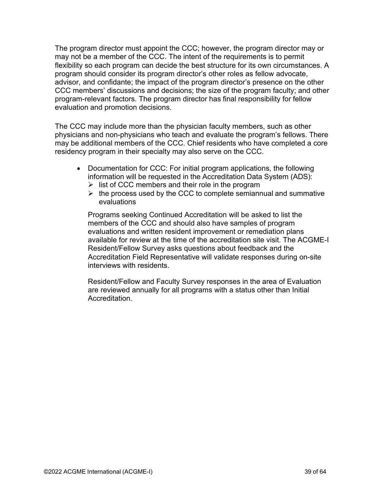The program director must appoint the CCC; however, the program director may or may not be a member of the CCC. The intent of the requirements is to permit flexibility so each program can decide the best structure for its own circumstances. A program should consider its program director's other roles as fellow advocate, advisor, and confidante; the impact of the program director's presence on the other CCC members' discussions and decisions; the size of the program faculty; and other program-relevant factors. The program director has final responsibility for fellow evaluation and promotion decisions.

The CCC may include more than the physician faculty members, such as other physicians and non-physicians who teach and evaluate the program's fellows. There may be additional members of the CCC. Chief residents who have completed a core residency program in their specialty may also serve on the CCC.

- Documentation for CCC: For initial program applications, the following information will be requested in the Accreditation Data System (ADS):
	- $\triangleright$  list of CCC members and their role in the program
	- $\triangleright$  the process used by the CCC to complete semiannual and summative evaluations

Programs seeking Continued Accreditation will be asked to list the members of the CCC and should also have samples of program evaluations and written resident improvement or remediation plans available for review at the time of the accreditation site visit. The ACGME-I Resident/Fellow Survey asks questions about feedback and the Accreditation Field Representative will validate responses during on-site interviews with residents.

Resident/Fellow and Faculty Survey responses in the area of Evaluation are reviewed annually for all programs with a status other than Initial **Accreditation**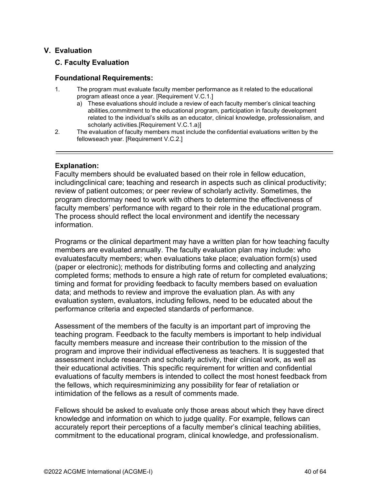#### <span id="page-39-0"></span>**V. Evaluation**

#### **C. Faculty Evaluation**

#### **Foundational Requirements:**

- 1. The program must evaluate faculty member performance as it related to the educational program atleast once a year. [Requirement V.C.1.]
	- a) These evaluations should include a review of each faculty member's clinical teaching abilities,commitment to the educational program, participation in faculty development related to the individual's skills as an educator, clinical knowledge, professionalism, and scholarly activities.[Requirement V.C.1.a)]
- 2. The evaluation of faculty members must include the confidential evaluations written by the fellowseach year. [Requirement V.C.2.]

#### <span id="page-39-1"></span>**Explanation:**

Faculty members should be evaluated based on their role in fellow education, includingclinical care; teaching and research in aspects such as clinical productivity; review of patient outcomes; or peer review of scholarly activity. Sometimes, the program directormay need to work with others to determine the effectiveness of faculty members' performance with regard to their role in the educational program. The process should reflect the local environment and identify the necessary information.

Programs or the clinical department may have a written plan for how teaching faculty members are evaluated annually. The faculty evaluation plan may include: who evaluatesfaculty members; when evaluations take place; evaluation form(s) used (paper or electronic); methods for distributing forms and collecting and analyzing completed forms; methods to ensure a high rate of return for completed evaluations; timing and format for providing feedback to faculty members based on evaluation data; and methods to review and improve the evaluation plan. As with any evaluation system, evaluators, including fellows, need to be educated about the performance criteria and expected standards of performance.

Assessment of the members of the faculty is an important part of improving the teaching program. Feedback to the faculty members is important to help individual faculty members measure and increase their contribution to the mission of the program and improve their individual effectiveness as teachers. It is suggested that assessment include research and scholarly activity, their clinical work, as well as their educational activities. This specific requirement for written and confidential evaluations of faculty members is intended to collect the most honest feedback from the fellows, which requiresminimizing any possibility for fear of retaliation or intimidation of the fellows as a result of comments made.

Fellows should be asked to evaluate only those areas about which they have direct knowledge and information on which to judge quality. For example, fellows can accurately report their perceptions of a faculty member's clinical teaching abilities, commitment to the educational program, clinical knowledge, and professionalism.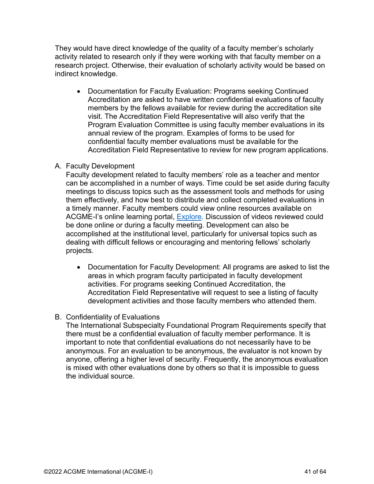They would have direct knowledge of the quality of a faculty member's scholarly activity related to research only if they were working with that faculty member on a research project. Otherwise, their evaluation of scholarly activity would be based on indirect knowledge.

• Documentation for Faculty Evaluation: Programs seeking Continued Accreditation are asked to have written confidential evaluations of faculty members by the fellows available for review during the accreditation site visit. The Accreditation Field Representative will also verify that the Program Evaluation Committee is using faculty member evaluations in its annual review of the program. Examples of forms to be used for confidential faculty member evaluations must be available for the Accreditation Field Representative to review for new program applications.

#### A. Faculty Development

Faculty development related to faculty members' role as a teacher and mentor can be accomplished in a number of ways. Time could be set aside during faculty meetings to discuss topics such as the assessment tools and methods for using them effectively, and how best to distribute and collect completed evaluations in a timely manner. Faculty members could view online resources available on ACGME-I's online learning portal, [Explore.](https://dl.acgme.org/acgme-international) Discussion of videos reviewed could be done online or during a faculty meeting. Development can also be accomplished at the institutional level, particularly for universal topics such as dealing with difficult fellows or encouraging and mentoring fellows' scholarly projects.

• Documentation for Faculty Development: All programs are asked to list the areas in which program faculty participated in faculty development activities. For programs seeking Continued Accreditation, the Accreditation Field Representative will request to see a listing of faculty development activities and those faculty members who attended them.

#### B. Confidentiality of Evaluations

The International Subspecialty Foundational Program Requirements specify that there must be a confidential evaluation of faculty member performance. It is important to note that confidential evaluations do not necessarily have to be anonymous. For an evaluation to be anonymous, the evaluator is not known by anyone, offering a higher level of security. Frequently, the anonymous evaluation is mixed with other evaluations done by others so that it is impossible to guess the individual source.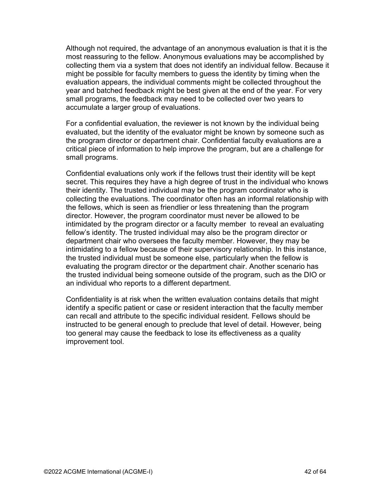Although not required, the advantage of an anonymous evaluation is that it is the most reassuring to the fellow. Anonymous evaluations may be accomplished by collecting them via a system that does not identify an individual fellow. Because it might be possible for faculty members to guess the identity by timing when the evaluation appears, the individual comments might be collected throughout the year and batched feedback might be best given at the end of the year. For very small programs, the feedback may need to be collected over two years to accumulate a larger group of evaluations.

For a confidential evaluation, the reviewer is not known by the individual being evaluated, but the identity of the evaluator might be known by someone such as the program director or department chair. Confidential faculty evaluations are a critical piece of information to help improve the program, but are a challenge for small programs.

Confidential evaluations only work if the fellows trust their identity will be kept secret. This requires they have a high degree of trust in the individual who knows their identity. The trusted individual may be the program coordinator who is collecting the evaluations. The coordinator often has an informal relationship with the fellows, which is seen as friendlier or less threatening than the program director. However, the program coordinator must never be allowed to be intimidated by the program director or a faculty member to reveal an evaluating fellow's identity. The trusted individual may also be the program director or department chair who oversees the faculty member. However, they may be intimidating to a fellow because of their supervisory relationship. In this instance, the trusted individual must be someone else, particularly when the fellow is evaluating the program director or the department chair. Another scenario has the trusted individual being someone outside of the program, such as the DIO or an individual who reports to a different department.

Confidentiality is at risk when the written evaluation contains details that might identify a specific patient or case or resident interaction that the faculty member can recall and attribute to the specific individual resident. Fellows should be instructed to be general enough to preclude that level of detail. However, being too general may cause the feedback to lose its effectiveness as a quality improvement tool.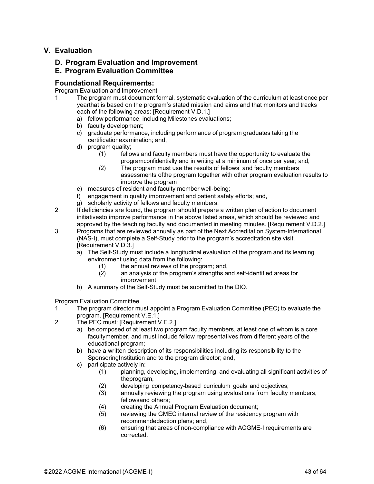#### <span id="page-42-0"></span>**V. Evaluation**

#### **D. Program Evaluation and Improvement**

#### **E. Program Evaluation Committee**

#### **Foundational Requirements:**

Program Evaluation and Improvement

- 1. The program must document formal, systematic evaluation of the curriculum at least once per yearthat is based on the program's stated mission and aims and that monitors and tracks each of the following areas: [Requirement V.D.1.]
	- a) fellow performance, including Milestones evaluations;
	- b) faculty development;
	- c) graduate performance, including performance of program graduates taking the certificationexamination; and,
	- d) program quality;
		- (1) fellows and faculty members must have the opportunity to evaluate the programconfidentially and in writing at a minimum of once per year; and,
		- (2) The program must use the results of fellows' and faculty members assessments ofthe program together with other program evaluation results to improve the program
	- e) measures of resident and faculty member well-being;
	- f) engagement in quality improvement and patient safety efforts; and,
	- g) scholarly activity of fellows and faculty members.
- 2. If deficiencies are found, the program should prepare a written plan of action to document initiativesto improve performance in the above listed areas, which should be reviewed and approved by the teaching faculty and documented in meeting minutes. [Requirement V.D.2.]
- 3. Programs that are reviewed annually as part of the Next Accreditation System-International (NAS-I), must complete a Self-Study prior to the program's accreditation site visit. [Requirement V.D.3.]
	- a) The Self-Study must include a longitudinal evaluation of the program and its learning environment using data from the following:
		- $(1)$  the annual reviews of the program; and,  $(2)$  an analysis of the program's strengths are
		- an analysis of the program's strengths and self-identified areas for improvement.
	- b) A summary of the Self-Study must be submitted to the DIO.

Program Evaluation Committee

- 1. The program director must appoint a Program Evaluation Committee (PEC) to evaluate the program. [Requirement V.E.1.]
- 2. The PEC must: [Requirement V.E.2.]
	- a) be composed of at least two program faculty members, at least one of whom is a core facultymember, and must include fellow representatives from different years of the educational program;
	- b) have a written description of its responsibilities including its responsibility to the SponsoringInstitution and to the program director; and,
	- c) participate actively in:
		- (1) planning, developing, implementing, and evaluating all significant activities of theprogram,
		- (2) developing competency-based curriculum goals and objectives;
		- (3) annually reviewing the program using evaluations from faculty members, fellowsand others;
		- (4) creating the Annual Program Evaluation document;
		- (5) reviewing the GMEC internal review of the residency program with recommendedaction plans; and,
		- (6) ensuring that areas of non-compliance with ACGME-I requirements are corrected.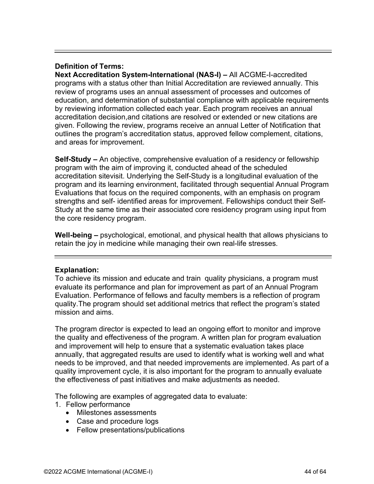#### <span id="page-43-0"></span>**Definition of Terms:**

**Next Accreditation System-International (NAS-I) –** All ACGME-I-accredited programs with a status other than Initial Accreditation are reviewed annually. This review of programs uses an annual assessment of processes and outcomes of education, and determination of substantial compliance with applicable requirements by reviewing information collected each year. Each program receives an annual accreditation decision,and citations are resolved or extended or new citations are given. Following the review, programs receive an annual Letter of Notification that outlines the program's accreditation status, approved fellow complement, citations, and areas for improvement.

**Self-Study –** An objective, comprehensive evaluation of a residency or fellowship program with the aim of improving it, conducted ahead of the scheduled accreditation sitevisit. Underlying the Self-Study is a longitudinal evaluation of the program and its learning environment, facilitated through sequential Annual Program Evaluations that focus on the required components, with an emphasis on program strengths and self- identified areas for improvement. Fellowships conduct their Self-Study at the same time as their associated core residency program using input from the core residency program.

**Well-being –** psychological, emotional, and physical health that allows physicians to retain the joy in medicine while managing their own real-life stresses.

#### <span id="page-43-1"></span>**Explanation:**

To achieve its mission and educate and train quality physicians, a program must evaluate its performance and plan for improvement as part of an Annual Program Evaluation. Performance of fellows and faculty members is a reflection of program quality.The program should set additional metrics that reflect the program's stated mission and aims.

The program director is expected to lead an ongoing effort to monitor and improve the quality and effectiveness of the program. A written plan for program evaluation and improvement will help to ensure that a systematic evaluation takes place annually, that aggregated results are used to identify what is working well and what needs to be improved, and that needed improvements are implemented. As part of a quality improvement cycle, it is also important for the program to annually evaluate the effectiveness of past initiatives and make adjustments as needed.

The following are examples of aggregated data to evaluate:

- 1. Fellow performance
	- Milestones assessments
	- Case and procedure logs
	- Fellow presentations/publications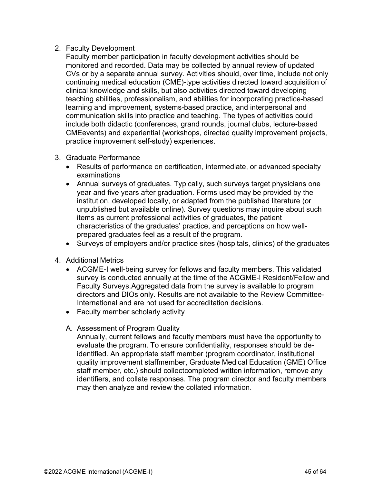#### 2. Faculty Development

Faculty member participation in faculty development activities should be monitored and recorded. Data may be collected by annual review of updated CVs or by a separate annual survey. Activities should, over time, include not only continuing medical education (CME)-type activities directed toward acquisition of clinical knowledge and skills, but also activities directed toward developing teaching abilities, professionalism, and abilities for incorporating practice-based learning and improvement, systems-based practice, and interpersonal and communication skills into practice and teaching. The types of activities could include both didactic (conferences, grand rounds, journal clubs, lecture-based CMEevents) and experiential (workshops, directed quality improvement projects, practice improvement self-study) experiences.

- 3. Graduate Performance
	- Results of performance on certification, intermediate, or advanced specialty examinations
	- Annual surveys of graduates. Typically, such surveys target physicians one year and five years after graduation. Forms used may be provided by the institution, developed locally, or adapted from the published literature (or unpublished but available online). Survey questions may inquire about such items as current professional activities of graduates, the patient characteristics of the graduates' practice, and perceptions on how wellprepared graduates feel as a result of the program.
	- Surveys of employers and/or practice sites (hospitals, clinics) of the graduates
- 4. Additional Metrics
	- ACGME-I well-being survey for fellows and faculty members. This validated survey is conducted annually at the time of the ACGME-I Resident/Fellow and Faculty Surveys.Aggregated data from the survey is available to program directors and DIOs only. Results are not available to the Review Committee-International and are not used for accreditation decisions.
	- Faculty member scholarly activity
	- A. Assessment of Program Quality

Annually, current fellows and faculty members must have the opportunity to evaluate the program. To ensure confidentiality, responses should be deidentified. An appropriate staff member (program coordinator, institutional quality improvement staffmember, Graduate Medical Education (GME) Office staff member, etc.) should collectcompleted written information, remove any identifiers, and collate responses. The program director and faculty members may then analyze and review the collated information.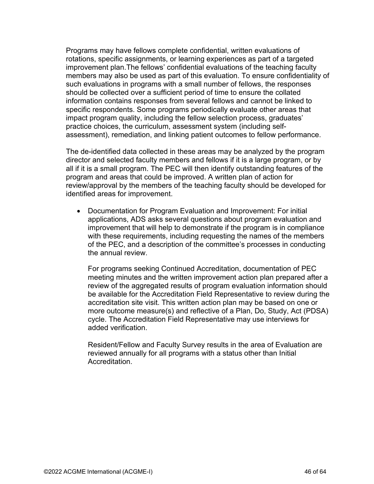Programs may have fellows complete confidential, written evaluations of rotations, specific assignments, or learning experiences as part of a targeted improvement plan.The fellows' confidential evaluations of the teaching faculty members may also be used as part of this evaluation. To ensure confidentiality of such evaluations in programs with a small number of fellows, the responses should be collected over a sufficient period of time to ensure the collated information contains responses from several fellows and cannot be linked to specific respondents. Some programs periodically evaluate other areas that impact program quality, including the fellow selection process, graduates' practice choices, the curriculum, assessment system (including selfassessment), remediation, and linking patient outcomes to fellow performance.

The de-identified data collected in these areas may be analyzed by the program director and selected faculty members and fellows if it is a large program, or by all if it is a small program. The PEC will then identify outstanding features of the program and areas that could be improved. A written plan of action for review/approval by the members of the teaching faculty should be developed for identified areas for improvement.

• Documentation for Program Evaluation and Improvement: For initial applications, ADS asks several questions about program evaluation and improvement that will help to demonstrate if the program is in compliance with these requirements, including requesting the names of the members of the PEC, and a description of the committee's processes in conducting the annual review.

For programs seeking Continued Accreditation, documentation of PEC meeting minutes and the written improvement action plan prepared after a review of the aggregated results of program evaluation information should be available for the Accreditation Field Representative to review during the accreditation site visit. This written action plan may be based on one or more outcome measure(s) and reflective of a Plan, Do, Study, Act (PDSA) cycle. The Accreditation Field Representative may use interviews for added verification.

Resident/Fellow and Faculty Survey results in the area of Evaluation are reviewed annually for all programs with a status other than Initial **Accreditation**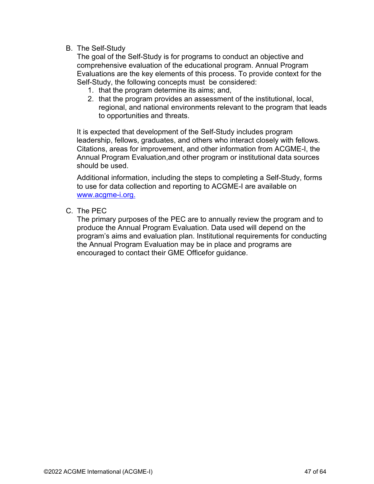B. The Self-Study

The goal of the Self-Study is for programs to conduct an objective and comprehensive evaluation of the educational program. Annual Program Evaluations are the key elements of this process. To provide context for the Self-Study, the following concepts must be considered:

- 1. that the program determine its aims; and,
- 2. that the program provides an assessment of the institutional, local, regional, and national environments relevant to the program that leads to opportunities and threats.

It is expected that development of the Self-Study includes program leadership, fellows, graduates, and others who interact closely with fellows. Citations, areas for improvement, and other information from ACGME-I, the Annual Program Evaluation,and other program or institutional data sources should be used.

Additional information, including the steps to completing a Self-Study, forms to use for data collection and reporting to ACGME-I are available on [www.acgme-i.org.](https://www.acgme-i.org/Institutions/Self-Study-and-the-Accreditation-Site-visit/)

C. The PEC

The primary purposes of the PEC are to annually review the program and to produce the Annual Program Evaluation. Data used will depend on the program's aims and evaluation plan. Institutional requirements for conducting the Annual Program Evaluation may be in place and programs are encouraged to contact their GME Officefor guidance.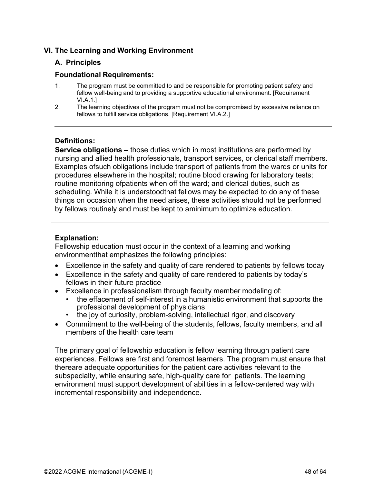#### **VI. The Learning and Working Environment**

#### **A. Principles**

#### **Foundational Requirements:**

- 1. The program must be committed to and be responsible for promoting patient safety and fellow well-being and to providing a supportive educational environment. [Requirement VI.A.1.]
- 2. The learning objectives of the program must not be compromised by excessive reliance on fellows to fulfill service obligations. [Requirement VI.A.2.]

#### <span id="page-47-0"></span>**Definitions:**

**Service obligations –** those duties which in most institutions are performed by nursing and allied health professionals, transport services, or clerical staff members. Examples ofsuch obligations include transport of patients from the wards or units for procedures elsewhere in the hospital; routine blood drawing for laboratory tests; routine monitoring ofpatients when off the ward; and clerical duties, such as scheduling. While it is understoodthat fellows may be expected to do any of these things on occasion when the need arises, these activities should not be performed by fellows routinely and must be kept to aminimum to optimize education.

#### <span id="page-47-1"></span>**Explanation:**

Fellowship education must occur in the context of a learning and working environmentthat emphasizes the following principles:

- Excellence in the safety and quality of care rendered to patients by fellows today
- Excellence in the safety and quality of care rendered to patients by today's fellows in their future practice
- Excellence in professionalism through faculty member modeling of:
	- the effacement of self-interest in a humanistic environment that supports the professional development of physicians
	- the joy of curiosity, problem-solving, intellectual rigor, and discovery
- Commitment to the well-being of the students, fellows, faculty members, and all members of the health care team

The primary goal of fellowship education is fellow learning through patient care experiences. Fellows are first and foremost learners. The program must ensure that thereare adequate opportunities for the patient care activities relevant to the subspecialty, while ensuring safe, high-quality care for patients. The learning environment must support development of abilities in a fellow-centered way with incremental responsibility and independence.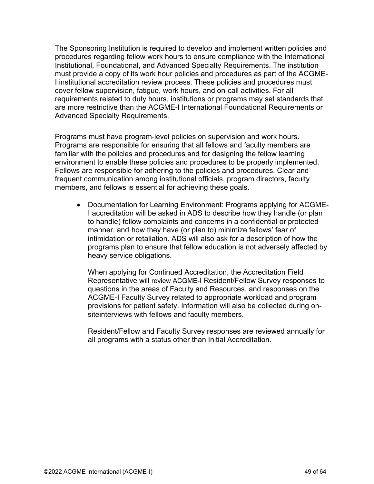The Sponsoring Institution is required to develop and implement written policies and procedures regarding fellow work hours to ensure compliance with the International Institutional, Foundational, and Advanced Specialty Requirements. The institution must provide a copy of its work hour policies and procedures as part of the ACGME-I institutional accreditation review process. These policies and procedures must cover fellow supervision, fatigue, work hours, and on-call activities. For all requirements related to duty hours, institutions or programs may set standards that are more restrictive than the ACGME-I International Foundational Requirements or Advanced Specialty Requirements.

Programs must have program-level policies on supervision and work hours. Programs are responsible for ensuring that all fellows and faculty members are familiar with the policies and procedures and for designing the fellow learning environment to enable these policies and procedures to be properly implemented. Fellows are responsible for adhering to the policies and procedures. Clear and frequent communication among institutional officials, program directors, faculty members, and fellows is essential for achieving these goals.

• Documentation for Learning Environment: Programs applying for ACGME-I accreditation will be asked in ADS to describe how they handle (or plan to handle) fellow complaints and concerns in a confidential or protected manner, and how they have (or plan to) minimize fellows' fear of intimidation or retaliation. ADS will also ask for a description of how the programs plan to ensure that fellow education is not adversely affected by heavy service obligations.

When applying for Continued Accreditation, the Accreditation Field Representative will review ACGME-I Resident/Fellow Survey responses to questions in the areas of Faculty and Resources, and responses on the ACGME-I Faculty Survey related to appropriate workload and program provisions for patient safety. Information will also be collected during onsiteinterviews with fellows and faculty members.

Resident/Fellow and Faculty Survey responses are reviewed annually for all programs with a status other than Initial Accreditation.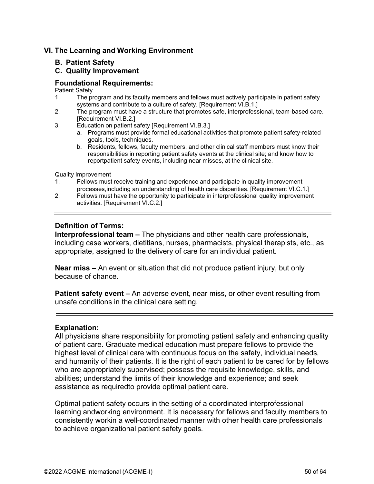#### <span id="page-49-0"></span>**VI. The Learning and Working Environment**

#### **B. Patient Safety**

#### **C. Quality Improvement**

#### **Foundational Requirements:**

Patient Safety<br>1. The pr

- The program and its faculty members and fellows must actively participate in patient safety systems and contribute to a culture of safety. [Requirement VI.B.1.]
- 2. The program must have a structure that promotes safe, interprofessional, team-based care. [Requirement VI.B.2.]
- 3. Education on patient safety [Requirement VI.B.3.]
	- a. Programs must provide formal educational activities that promote patient safety-related goals, tools, techniques.
	- b. Residents, fellows, faculty members, and other clinical staff members must know their responsibilities in reporting patient safety events at the clinical site; and know how to reportpatient safety events, including near misses, at the clinical site.

Quality Improvement

- 1. Fellows must receive training and experience and participate in quality improvement processes,including an understanding of health care disparities. [Requirement VI.C.1.]
- 2. Fellows must have the opportunity to participate in interprofessional quality improvement activities. [Requirement VI.C.2.]

#### <span id="page-49-1"></span>**Definition of Terms:**

**Interprofessional team –** The physicians and other health care professionals, including case workers, dietitians, nurses, pharmacists, physical therapists, etc., as appropriate, assigned to the delivery of care for an individual patient.

**Near miss –** An event or situation that did not produce patient injury, but only because of chance.

**Patient safety event –** An adverse event, near miss, or other event resulting from unsafe conditions in the clinical care setting.

#### <span id="page-49-2"></span>**Explanation:**

All physicians share responsibility for promoting patient safety and enhancing quality of patient care. Graduate medical education must prepare fellows to provide the highest level of clinical care with continuous focus on the safety, individual needs, and humanity of their patients. It is the right of each patient to be cared for by fellows who are appropriately supervised; possess the requisite knowledge, skills, and abilities; understand the limits of their knowledge and experience; and seek assistance as requiredto provide optimal patient care.

Optimal patient safety occurs in the setting of a coordinated interprofessional learning andworking environment. It is necessary for fellows and faculty members to consistently workin a well-coordinated manner with other health care professionals to achieve organizational patient safety goals.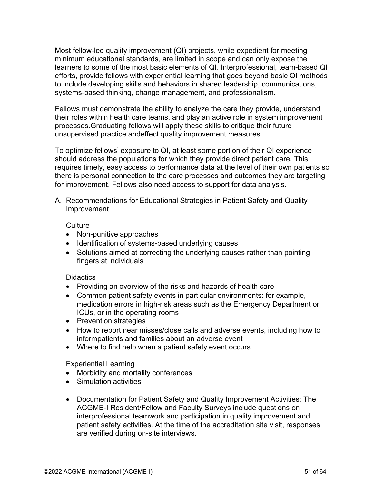Most fellow-led quality improvement (QI) projects, while expedient for meeting minimum educational standards, are limited in scope and can only expose the learners to some of the most basic elements of QI. Interprofessional, team-based QI efforts, provide fellows with experiential learning that goes beyond basic QI methods to include developing skills and behaviors in shared leadership, communications, systems-based thinking, change management, and professionalism.

Fellows must demonstrate the ability to analyze the care they provide, understand their roles within health care teams, and play an active role in system improvement processes.Graduating fellows will apply these skills to critique their future unsupervised practice andeffect quality improvement measures.

To optimize fellows' exposure to QI, at least some portion of their QI experience should address the populations for which they provide direct patient care. This requires timely, easy access to performance data at the level of their own patients so there is personal connection to the care processes and outcomes they are targeting for improvement. Fellows also need access to support for data analysis.

A. Recommendations for Educational Strategies in Patient Safety and Quality Improvement

#### **Culture**

- Non-punitive approaches
- Identification of systems-based underlying causes
- Solutions aimed at correcting the underlying causes rather than pointing fingers at individuals

#### **Didactics**

- Providing an overview of the risks and hazards of health care
- Common patient safety events in particular environments: for example, medication errors in high-risk areas such as the Emergency Department or ICUs, or in the operating rooms
- Prevention strategies
- How to report near misses/close calls and adverse events, including how to informpatients and families about an adverse event
- Where to find help when a patient safety event occurs

#### Experiential Learning

- Morbidity and mortality conferences
- Simulation activities
- Documentation for Patient Safety and Quality Improvement Activities: The ACGME-I Resident/Fellow and Faculty Surveys include questions on interprofessional teamwork and participation in quality improvement and patient safety activities. At the time of the accreditation site visit, responses are verified during on-site interviews.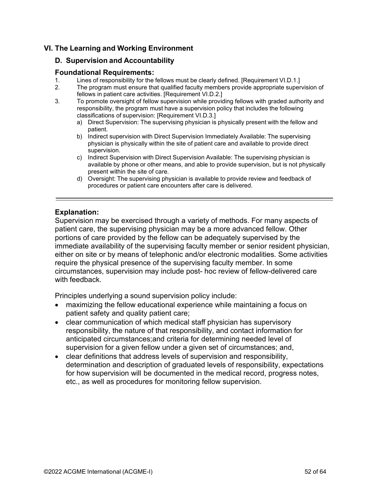#### <span id="page-51-0"></span>**VI. The Learning and Working Environment**

#### **D. Supervision and Accountability**

## **Foundational Requirements:**<br>1. Lines of responsibility for the

- 1. Lines of responsibility for the fellows must be clearly defined. [Requirement VI.D.1.]
- The program must ensure that qualified faculty members provide appropriate supervision of fellows in patient care activities. [Requirement VI.D.2.]
- 3. To promote oversight of fellow supervision while providing fellows with graded authority and responsibility, the program must have a supervision policy that includes the following classifications of supervision: [Requirement VI.D.3.]
	- a) Direct Supervision: The supervising physician is physically present with the fellow and patient.
	- b) Indirect supervision with Direct Supervision Immediately Available: The supervising physician is physically within the site of patient care and available to provide direct supervision.
	- c) Indirect Supervision with Direct Supervision Available: The supervising physician is available by phone or other means, and able to provide supervision, but is not physically present within the site of care.
	- d) Oversight: The supervising physician is available to provide review and feedback of procedures or patient care encounters after care is delivered.

#### <span id="page-51-1"></span>**Explanation:**

Supervision may be exercised through a variety of methods. For many aspects of patient care, the supervising physician may be a more advanced fellow. Other portions of care provided by the fellow can be adequately supervised by the immediate availability of the supervising faculty member or senior resident physician, either on site or by means of telephonic and/or electronic modalities. Some activities require the physical presence of the supervising faculty member. In some circumstances, supervision may include post- hoc review of fellow-delivered care with feedback.

Principles underlying a sound supervision policy include:

- maximizing the fellow educational experience while maintaining a focus on patient safety and quality patient care;
- clear communication of which medical staff physician has supervisory responsibility, the nature of that responsibility, and contact information for anticipated circumstances;and criteria for determining needed level of supervision for a given fellow under a given set of circumstances; and,
- clear definitions that address levels of supervision and responsibility, determination and description of graduated levels of responsibility, expectations for how supervision will be documented in the medical record, progress notes, etc., as well as procedures for monitoring fellow supervision.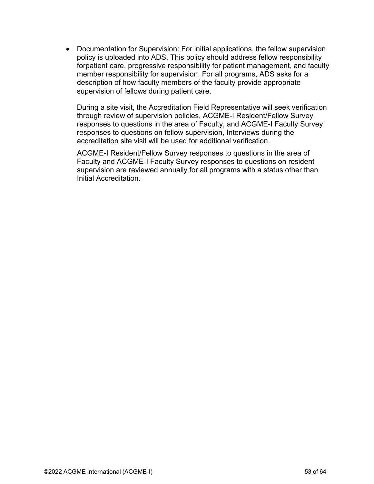• Documentation for Supervision: For initial applications, the fellow supervision policy is uploaded into ADS. This policy should address fellow responsibility forpatient care, progressive responsibility for patient management, and faculty member responsibility for supervision. For all programs, ADS asks for a description of how faculty members of the faculty provide appropriate supervision of fellows during patient care.

During a site visit, the Accreditation Field Representative will seek verification through review of supervision policies, ACGME-I Resident/Fellow Survey responses to questions in the area of Faculty, and ACGME-I Faculty Survey responses to questions on fellow supervision, Interviews during the accreditation site visit will be used for additional verification.

ACGME-I Resident/Fellow Survey responses to questions in the area of Faculty and ACGME-I Faculty Survey responses to questions on resident supervision are reviewed annually for all programs with a status other than Initial Accreditation.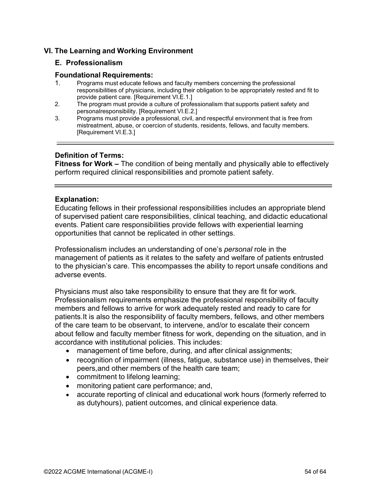#### <span id="page-53-0"></span>**VI. The Learning and Working Environment**

#### **E. Professionalism**

#### **Foundational Requirements:**

- 1. Programs must educate fellows and faculty members concerning the professional responsibilities of physicians, including their obligation to be appropriately rested and fit to provide patient care. [Requirement VI.E.1.]
- 2. The program must provide a culture of professionalism that supports patient safety and personalresponsibility. [Requirement VI.E.2.]
- 3. Programs must provide a professional, civil, and respectful environment that is free from mistreatment, abuse, or coercion of students, residents, fellows, and faculty members. [Requirement VI.E.3.]

#### **Definition of Terms:**

**Fitness for Work –** The condition of being mentally and physically able to effectively perform required clinical responsibilities and promote patient safety.

#### <span id="page-53-1"></span>**Explanation:**

Educating fellows in their professional responsibilities includes an appropriate blend of supervised patient care responsibilities, clinical teaching, and didactic educational events. Patient care responsibilities provide fellows with experiential learning opportunities that cannot be replicated in other settings.

Professionalism includes an understanding of one's *personal* role in the management of patients as it relates to the safety and welfare of patients entrusted to the physician's care. This encompasses the ability to report unsafe conditions and adverse events.

Physicians must also take responsibility to ensure that they are fit for work. Professionalism requirements emphasize the professional responsibility of faculty members and fellows to arrive for work adequately rested and ready to care for patients.It is also the responsibility of faculty members, fellows, and other members of the care team to be observant, to intervene, and/or to escalate their concern about fellow and faculty member fitness for work, depending on the situation, and in accordance with institutional policies. This includes:

- management of time before, during, and after clinical assignments;
- recognition of impairment (illness, fatigue, substance use) in themselves, their peers,and other members of the health care team;
- commitment to lifelong learning;
- monitoring patient care performance; and,
- accurate reporting of clinical and educational work hours (formerly referred to as dutyhours), patient outcomes, and clinical experience data.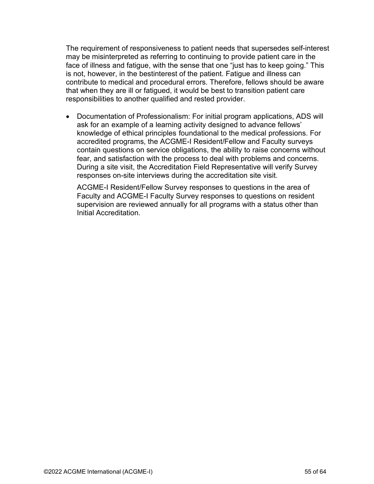The requirement of responsiveness to patient needs that supersedes self-interest may be misinterpreted as referring to continuing to provide patient care in the face of illness and fatigue, with the sense that one "just has to keep going." This is not, however, in the bestinterest of the patient. Fatigue and illness can contribute to medical and procedural errors. Therefore, fellows should be aware that when they are ill or fatigued, it would be best to transition patient care responsibilities to another qualified and rested provider.

• Documentation of Professionalism: For initial program applications, ADS will ask for an example of a learning activity designed to advance fellows' knowledge of ethical principles foundational to the medical professions. For accredited programs, the ACGME-I Resident/Fellow and Faculty surveys contain questions on service obligations, the ability to raise concerns without fear, and satisfaction with the process to deal with problems and concerns. During a site visit, the Accreditation Field Representative will verify Survey responses on-site interviews during the accreditation site visit.

ACGME-I Resident/Fellow Survey responses to questions in the area of Faculty and ACGME-I Faculty Survey responses to questions on resident supervision are reviewed annually for all programs with a status other than Initial Accreditation.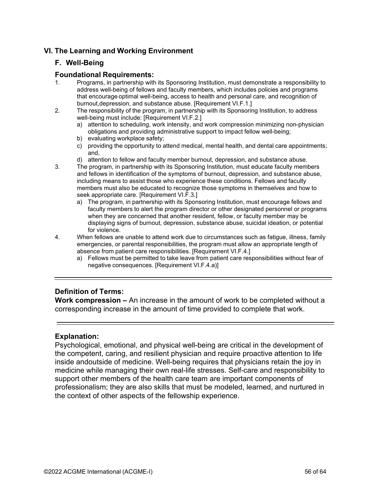#### <span id="page-55-0"></span>**VI. The Learning and Working Environment**

#### **F. Well-Being**

#### **Foundational Requirements:**

- 1. Programs, in partnership with its Sponsoring Institution, must demonstrate a responsibility to address well-being of fellows and faculty members, which includes policies and programs that encourage optimal well-being, access to health and personal care, and recognition of burnout,depression, and substance abuse. [Requirement VI.F.1.]
- 2. The responsibility of the program, in partnership with its Sponsoring Institution, to address well-being must include: [Requirement VI.F.2.]
	- a) attention to scheduling, work intensity, and work compression minimizing non-physician obligations and providing administrative support to impact fellow well-being;
	- b) evaluating workplace safety;
	- c) providing the opportunity to attend medical, mental health, and dental care appointments; and,
	- d) attention to fellow and faculty member burnout, depression, and substance abuse.
- 3. The program, in partnership with its Sponsoring Institution, must educate faculty members and fellows in identification of the symptoms of burnout, depression, and substance abuse, including means to assist those who experience these conditions. Fellows and faculty members must also be educated to recognize those symptoms in themselves and how to seek appropriate care. [Requirement VI.F.3.]
	- a) The program, in partnership with its Sponsoring Institution, must encourage fellows and faculty members to alert the program director or other designated personnel or programs when they are concerned that another resident, fellow, or faculty member may be displaying signs of burnout, depression, substance abuse, suicidal ideation, or potential for violence.
- 4. When fellows are unable to attend work due to circumstances such as fatigue, illness, family emergencies, or parental responsibilities, the program must allow an appropriate length of absence from patient care responsibilities. [Requirement VI.F.4.]
	- a) Fellows must be permitted to take leave from patient care responsibilities without fear of negative consequences. [Requirement VI.F.4.a)]

#### <span id="page-55-1"></span>**Definition of Terms:**

**Work compression –** An increase in the amount of work to be completed without a corresponding increase in the amount of time provided to complete that work.

#### <span id="page-55-2"></span>**Explanation:**

Psychological, emotional, and physical well-being are critical in the development of the competent, caring, and resilient physician and require proactive attention to life inside andoutside of medicine. Well-being requires that physicians retain the joy in medicine while managing their own real-life stresses. Self-care and responsibility to support other members of the health care team are important components of professionalism; they are also skills that must be modeled, learned, and nurtured in the context of other aspects of the fellowship experience.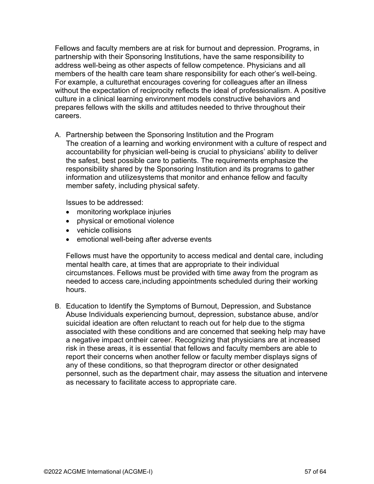Fellows and faculty members are at risk for burnout and depression. Programs, in partnership with their Sponsoring Institutions, have the same responsibility to address well-being as other aspects of fellow competence. Physicians and all members of the health care team share responsibility for each other's well-being. For example, a culturethat encourages covering for colleagues after an illness without the expectation of reciprocity reflects the ideal of professionalism. A positive culture in a clinical learning environment models constructive behaviors and prepares fellows with the skills and attitudes needed to thrive throughout their careers.

A. Partnership between the Sponsoring Institution and the Program The creation of a learning and working environment with a culture of respect and accountability for physician well-being is crucial to physicians' ability to deliver the safest, best possible care to patients. The requirements emphasize the responsibility shared by the Sponsoring Institution and its programs to gather information and utilizesystems that monitor and enhance fellow and faculty member safety, including physical safety.

Issues to be addressed:

- monitoring workplace injuries
- physical or emotional violence
- vehicle collisions
- emotional well-being after adverse events

Fellows must have the opportunity to access medical and dental care, including mental health care, at times that are appropriate to their individual circumstances. Fellows must be provided with time away from the program as needed to access care,including appointments scheduled during their working hours.

B. Education to Identify the Symptoms of Burnout, Depression, and Substance Abuse Individuals experiencing burnout, depression, substance abuse, and/or suicidal ideation are often reluctant to reach out for help due to the stigma associated with these conditions and are concerned that seeking help may have a negative impact ontheir career. Recognizing that physicians are at increased risk in these areas, it is essential that fellows and faculty members are able to report their concerns when another fellow or faculty member displays signs of any of these conditions, so that theprogram director or other designated personnel, such as the department chair, may assess the situation and intervene as necessary to facilitate access to appropriate care.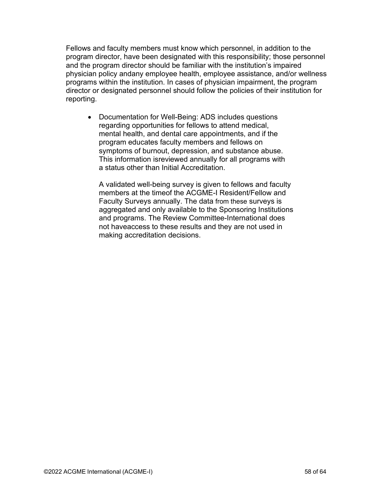Fellows and faculty members must know which personnel, in addition to the program director, have been designated with this responsibility; those personnel and the program director should be familiar with the institution's impaired physician policy andany employee health, employee assistance, and/or wellness programs within the institution. In cases of physician impairment, the program director or designated personnel should follow the policies of their institution for reporting.

• Documentation for Well-Being: ADS includes questions regarding opportunities for fellows to attend medical, mental health, and dental care appointments, and if the program educates faculty members and fellows on symptoms of burnout, depression, and substance abuse. This information isreviewed annually for all programs with a status other than Initial Accreditation.

A validated well-being survey is given to fellows and faculty members at the timeof the ACGME-I Resident/Fellow and Faculty Surveys annually. The data from these surveys is aggregated and only available to the Sponsoring Institutions and programs. The Review Committee-International does not haveaccess to these results and they are not used in making accreditation decisions.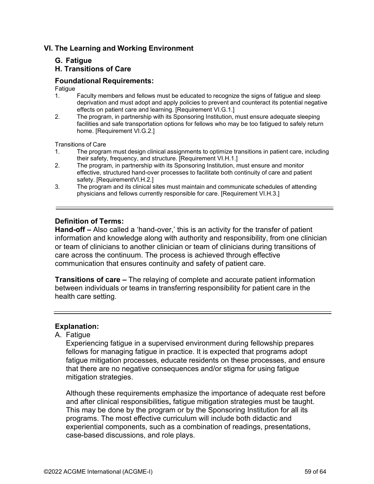#### **VI. The Learning and Working Environment**

#### **G. Fatigue**

#### <span id="page-58-1"></span>**H. Transitions of Care**

#### **Foundational Requirements:**

## Fatigue<br>1

- 1. Faculty members and fellows must be educated to recognize the signs of fatigue and sleep deprivation and must adopt and apply policies to prevent and counteract its potential negative effects on patient care and learning. [Requirement VI.G.1.]
- 2. The program, in partnership with its Sponsoring Institution, must ensure adequate sleeping facilities and safe transportation options for fellows who may be too fatigued to safely return home. [Requirement VI.G.2.]

Transitions of Care<br>1. The progra

- 1. The program must design clinical assignments to optimize transitions in patient care, including their safety, frequency, and structure. [Requirement VI.H.1.]
- 2. The program, in partnership with its Sponsoring Institution, must ensure and monitor effective, structured hand-over processes to facilitate both continuity of care and patient safety. [RequirementVI.H.2.]
- 3. The program and its clinical sites must maintain and communicate schedules of attending physicians and fellows currently responsible for care. [Requirement VI.H.3.]

#### <span id="page-58-0"></span>**Definition of Terms:**

**Hand-off –** Also called a 'hand-over,' this is an activity for the transfer of patient information and knowledge along with authority and responsibility, from one clinician or team of clinicians to another clinician or team of clinicians during transitions of care across the continuum. The process is achieved through effective communication that ensures continuity and safety of patient care.

**Transitions of care –** The relaying of complete and accurate patient information between individuals or teams in transferring responsibility for patient care in the health care setting.

#### <span id="page-58-2"></span>**Explanation:**

#### A. Fatigue

Experiencing fatigue in a supervised environment during fellowship prepares fellows for managing fatigue in practice. It is expected that programs adopt fatigue mitigation processes, educate residents on these processes, and ensure that there are no negative consequences and/or stigma for using fatigue mitigation strategies.

Although these requirements emphasize the importance of adequate rest before and after clinical responsibilities**,** fatigue mitigation strategies must be taught. This may be done by the program or by the Sponsoring Institution for all its programs. The most effective curriculum will include both didactic and experiential components, such as a combination of readings, presentations, case-based discussions, and role plays.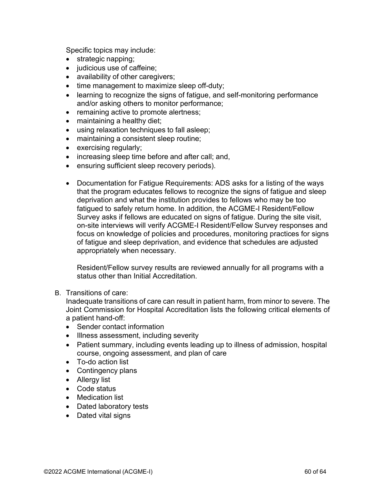Specific topics may include:

- strategic napping;
- judicious use of caffeine;
- availability of other caregivers;
- time management to maximize sleep off-duty;
- learning to recognize the signs of fatigue, and self-monitoring performance and/or asking others to monitor performance;
- remaining active to promote alertness;
- maintaining a healthy diet;
- using relaxation techniques to fall asleep;
- maintaining a consistent sleep routine;
- exercising regularly;
- increasing sleep time before and after call; and,
- ensuring sufficient sleep recovery periods).
- Documentation for Fatigue Requirements: ADS asks for a listing of the ways that the program educates fellows to recognize the signs of fatigue and sleep deprivation and what the institution provides to fellows who may be too fatigued to safely return home. In addition, the ACGME-I Resident/Fellow Survey asks if fellows are educated on signs of fatigue. During the site visit, on-site interviews will verify ACGME-I Resident/Fellow Survey responses and focus on knowledge of policies and procedures, monitoring practices for signs of fatigue and sleep deprivation, and evidence that schedules are adjusted appropriately when necessary.

Resident/Fellow survey results are reviewed annually for all programs with a status other than Initial Accreditation.

#### B. Transitions of care:

Inadequate transitions of care can result in patient harm, from minor to severe. The Joint Commission for Hospital Accreditation lists the following critical elements of a patient hand-off:

- Sender contact information
- Illness assessment, including severity
- Patient summary, including events leading up to illness of admission, hospital course, ongoing assessment, and plan of care
- To-do action list
- Contingency plans
- Allergy list
- Code status
- Medication list
- Dated laboratory tests
- Dated vital signs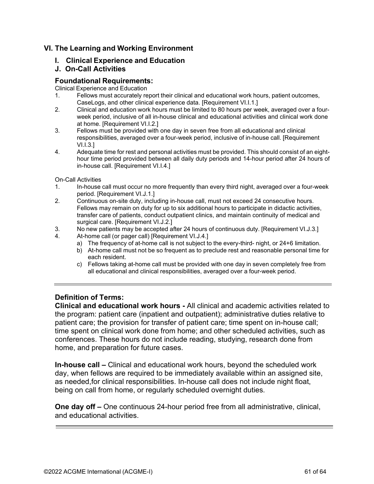#### **VI. The Learning and Working Environment**

**I. Clinical Experience and Education**

#### <span id="page-60-0"></span>**J. On-Call Activities**

#### **Foundational Requirements:**

Clinical Experience and Education

- 1. Fellows must accurately report their clinical and educational work hours, patient outcomes, CaseLogs, and other clinical experience data. [Requirement VI.I.1.]
- 2. Clinical and education work hours must be limited to 80 hours per week, averaged over a fourweek period, inclusive of all in-house clinical and educational activities and clinical work done at home. [Requirement VI.I.2.]
- 3. Fellows must be provided with one day in seven free from all educational and clinical responsibilities, averaged over a four-week period, inclusive of in-house call. [Requirement VI.I.3.]
- 4. Adequate time for rest and personal activities must be provided. This should consist of an eighthour time period provided between all daily duty periods and 14-hour period after 24 hours of in-house call. [Requirement VI.I.4.]

On-Call Activities

- 1. In-house call must occur no more frequently than every third night, averaged over a four-week period. [Requirement VI.J.1.]
- 2. Continuous on-site duty, including in-house call, must not exceed 24 consecutive hours. Fellows may remain on duty for up to six additional hours to participate in didactic activities, transfer care of patients, conduct outpatient clinics, and maintain continuity of medical and surgical care. [Requirement VI.J.2.]
- 3. No new patients may be accepted after 24 hours of continuous duty. [Requirement VI.J.3.]
- 4. At-home call (or pager call) [Requirement VI.J.4.]
	- a) The frequency of at-home call is not subject to the every-third- night, or 24+6 limitation.
	- b) At-home call must not be so frequent as to preclude rest and reasonable personal time for each resident.
	- c) Fellows taking at-home call must be provided with one day in seven completely free from all educational and clinical responsibilities, averaged over a four-week period.

#### <span id="page-60-1"></span>**Definition of Terms:**

**Clinical and educational work hours -** All clinical and academic activities related to the program: patient care (inpatient and outpatient); administrative duties relative to patient care; the provision for transfer of patient care; time spent on in-house call; time spent on clinical work done from home; and other scheduled activities, such as conferences. These hours do not include reading, studying, research done from home, and preparation for future cases.

**In-house call –** Clinical and educational work hours, beyond the scheduled work day, when fellows are required to be immediately available within an assigned site, as needed,for clinical responsibilities. In-house call does not include night float, being on call from home, or regularly scheduled overnight duties.

**One day off –** One continuous 24-hour period free from all administrative, clinical, and educational activities.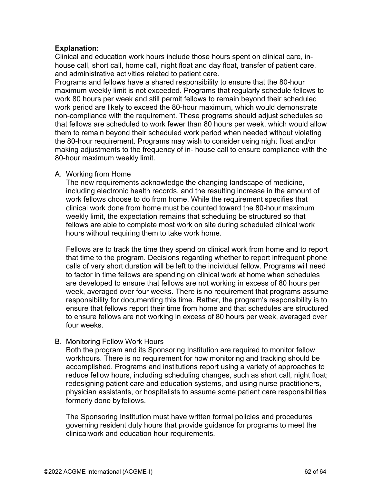#### <span id="page-61-0"></span>**Explanation:**

Clinical and education work hours include those hours spent on clinical care, inhouse call, short call, home call, night float and day float, transfer of patient care, and administrative activities related to patient care.

Programs and fellows have a shared responsibility to ensure that the 80-hour maximum weekly limit is not exceeded. Programs that regularly schedule fellows to work 80 hours per week and still permit fellows to remain beyond their scheduled work period are likely to exceed the 80-hour maximum, which would demonstrate non-compliance with the requirement. These programs should adjust schedules so that fellows are scheduled to work fewer than 80 hours per week, which would allow them to remain beyond their scheduled work period when needed without violating the 80-hour requirement. Programs may wish to consider using night float and/or making adjustments to the frequency of in- house call to ensure compliance with the 80-hour maximum weekly limit.

#### A. Working from Home

The new requirements acknowledge the changing landscape of medicine, including electronic health records, and the resulting increase in the amount of work fellows choose to do from home. While the requirement specifies that clinical work done from home must be counted toward the 80-hour maximum weekly limit, the expectation remains that scheduling be structured so that fellows are able to complete most work on site during scheduled clinical work hours without requiring them to take work home.

Fellows are to track the time they spend on clinical work from home and to report that time to the program. Decisions regarding whether to report infrequent phone calls of very short duration will be left to the individual fellow. Programs will need to factor in time fellows are spending on clinical work at home when schedules are developed to ensure that fellows are not working in excess of 80 hours per week, averaged over four weeks. There is no requirement that programs assume responsibility for documenting this time. Rather, the program's responsibility is to ensure that fellows report their time from home and that schedules are structured to ensure fellows are not working in excess of 80 hours per week, averaged over four weeks.

B. Monitoring Fellow Work Hours

Both the program and its Sponsoring Institution are required to monitor fellow workhours. There is no requirement for how monitoring and tracking should be accomplished. Programs and institutions report using a variety of approaches to reduce fellow hours, including scheduling changes, such as short call, night float; redesigning patient care and education systems, and using nurse practitioners, physician assistants, or hospitalists to assume some patient care responsibilities formerly done by fellows.

The Sponsoring Institution must have written formal policies and procedures governing resident duty hours that provide guidance for programs to meet the clinicalwork and education hour requirements.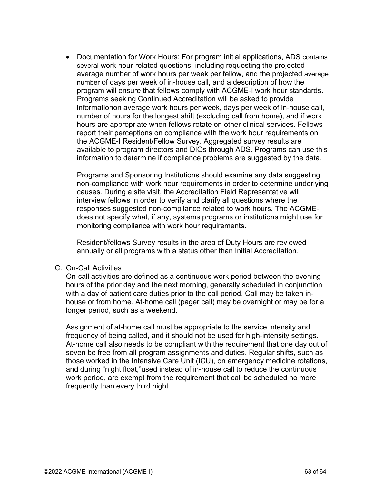• Documentation for Work Hours: For program initial applications, ADS contains several work hour-related questions, including requesting the projected average number of work hours per week per fellow, and the projected average number of days per week of in-house call, and a description of how the program will ensure that fellows comply with ACGME-I work hour standards. Programs seeking Continued Accreditation will be asked to provide informationon average work hours per week, days per week of in-house call, number of hours for the longest shift (excluding call from home), and if work hours are appropriate when fellows rotate on other clinical services. Fellows report their perceptions on compliance with the work hour requirements on the ACGME-I Resident/Fellow Survey. Aggregated survey results are available to program directors and DIOs through ADS. Programs can use this information to determine if compliance problems are suggested by the data.

Programs and Sponsoring Institutions should examine any data suggesting non-compliance with work hour requirements in order to determine underlying causes. During a site visit, the Accreditation Field Representative will interview fellows in order to verify and clarify all questions where the responses suggested non-compliance related to work hours. The ACGME-I does not specify what, if any, systems programs or institutions might use for monitoring compliance with work hour requirements.

Resident/fellows Survey results in the area of Duty Hours are reviewed annually or all programs with a status other than Initial Accreditation.

#### C. On-Call Activities

On-call activities are defined as a continuous work period between the evening hours of the prior day and the next morning, generally scheduled in conjunction with a day of patient care duties prior to the call period. Call may be taken inhouse or from home. At-home call (pager call) may be overnight or may be for a longer period, such as a weekend.

Assignment of at-home call must be appropriate to the service intensity and frequency of being called, and it should not be used for high-intensity settings. At-home call also needs to be compliant with the requirement that one day out of seven be free from all program assignments and duties. Regular shifts, such as those worked in the Intensive Care Unit (ICU), on emergency medicine rotations, and during "night float,"used instead of in-house call to reduce the continuous work period, are exempt from the requirement that call be scheduled no more frequently than every third night.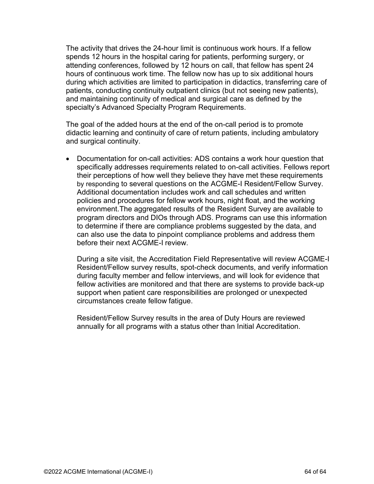The activity that drives the 24-hour limit is continuous work hours. If a fellow spends 12 hours in the hospital caring for patients, performing surgery, or attending conferences, followed by 12 hours on call, that fellow has spent 24 hours of continuous work time. The fellow now has up to six additional hours during which activities are limited to participation in didactics, transferring care of patients, conducting continuity outpatient clinics (but not seeing new patients), and maintaining continuity of medical and surgical care as defined by the specialty's Advanced Specialty Program Requirements.

The goal of the added hours at the end of the on-call period is to promote didactic learning and continuity of care of return patients, including ambulatory and surgical continuity.

• Documentation for on-call activities: ADS contains a work hour question that specifically addresses requirements related to on-call activities. Fellows report their perceptions of how well they believe they have met these requirements by responding to several questions on the ACGME-I Resident/Fellow Survey. Additional documentation includes work and call schedules and written policies and procedures for fellow work hours, night float, and the working environment.The aggregated results of the Resident Survey are available to program directors and DIOs through ADS. Programs can use this information to determine if there are compliance problems suggested by the data, and can also use the data to pinpoint compliance problems and address them before their next ACGME-I review.

During a site visit, the Accreditation Field Representative will review ACGME-I Resident/Fellow survey results, spot-check documents, and verify information during faculty member and fellow interviews, and will look for evidence that fellow activities are monitored and that there are systems to provide back-up support when patient care responsibilities are prolonged or unexpected circumstances create fellow fatigue.

Resident/Fellow Survey results in the area of Duty Hours are reviewed annually for all programs with a status other than Initial Accreditation.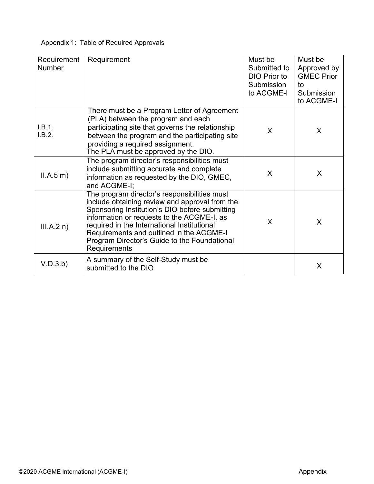| Appendix 1: Table of Required Approvals |  |  |  |
|-----------------------------------------|--|--|--|
|-----------------------------------------|--|--|--|

| Requirement<br><b>Number</b> | Requirement                                                                                                                                                                                                                                                                                                                                               | Must be<br>Submitted to<br>DIO Prior to<br>Submission<br>to ACGME-I | Must be<br>Approved by<br><b>GMEC Prior</b><br>to<br>Submission<br>to ACGME-I |
|------------------------------|-----------------------------------------------------------------------------------------------------------------------------------------------------------------------------------------------------------------------------------------------------------------------------------------------------------------------------------------------------------|---------------------------------------------------------------------|-------------------------------------------------------------------------------|
| I.B.1.<br>I.B.2.             | There must be a Program Letter of Agreement<br>(PLA) between the program and each<br>participating site that governs the relationship<br>between the program and the participating site<br>providing a required assignment.<br>The PLA must be approved by the DIO.                                                                                       | X                                                                   | X                                                                             |
| II.A.5 m)                    | The program director's responsibilities must<br>include submitting accurate and complete<br>information as requested by the DIO, GMEC,<br>and ACGME-I;                                                                                                                                                                                                    | X                                                                   | X                                                                             |
| III.A.2 n)                   | The program director's responsibilities must<br>include obtaining review and approval from the<br>Sponsoring Institution's DIO before submitting<br>information or requests to the ACGME-I, as<br>required in the International Institutional<br>Requirements and outlined in the ACGME-I<br>Program Director's Guide to the Foundational<br>Requirements | X                                                                   | X                                                                             |
| V.D.3.b)                     | A summary of the Self-Study must be<br>submitted to the DIO                                                                                                                                                                                                                                                                                               |                                                                     | X                                                                             |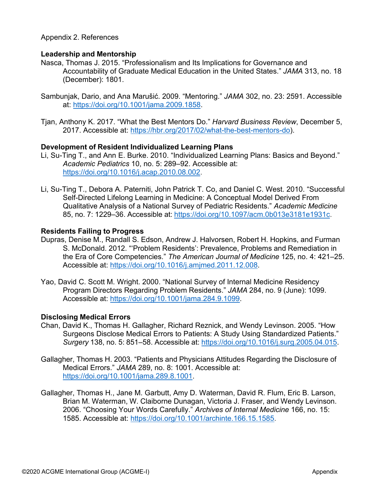#### Appendix 2. References

#### **Leadership and Mentorship**

- Nasca, Thomas J. 2015. "Professionalism and Its Implications for Governance and Accountability of Graduate Medical Education in the United States." *JAMA* 313, no. 18 (December): 1801.
- Sambunjak, Dario, and Ana Marušić. 2009. "Mentoring." *JAMA* 302, no. 23: 2591. Accessible at: https://doi.org/10.1001/jama.2009.1858.
- [Tjan, Anthony K. 2017. "What the Best Mentors](https://hbr.org/2017/02/what-the-best-mentors-do) Do." *Harvard Business Review*, December 5, 2017. Accessible at: https://hbr.org/2017/02/what-the-best-mentors-do).

#### **Development of Resident Individualized Learning Plans**

- Li, Su-Ting T., and Ann E. Burke. 2010. "Ind[ividualized Learning Plans: Basics and Beyo](https://doi.org/10.1016/j.acap.2010.08.002)nd." *Academic Pediatrics* 10, no. 5: 289–92. Accessible at: https://doi.org/10.1016/j.acap.2010.08.002.
- Li, Su-Ting T., Debora A. Paterniti, John Patrick T. Co, and Daniel C. West. 2010. "Successful [Self-Directed](https://doi.org/10.1097/acm.0b013e3181e1931c) Lifelong Learning in Medicine: A Conceptual Model Derived From Qualitative Analysis of a National Survey of Pediatric Residents." *Academic Medicine* 85, no. 7: 1229–36. Accessible at: https://doi.org/10.1097/acm.0b013e3181e1931c.

#### **Residents Failing to Progress**

- [Dupras,](https://doi.org/10.1001/jama.284.9.1099) Denise M., Randall S. Edson, Andrew J. Halvorsen, Robert H. Hopkins, and Furman S. McDonald. 2012. "'Problem Residents': Prevalence, Problems and Remediation in the Era of Core Competencies." *The American Journal of Medicine* 125, no. 4: 421–25. Accessible at: https://doi.org/10.1016/j.amjmed.2011.12.008.
- Yao, David C. Scott M. Wright. 2000. "National Survey of Internal Medicine Residency Program Directors Regarding Problem Residents." *JAMA* 284, no. 9 (June): 1099. Accessible at: https://doi.org/10.1001/jama.284.9.1099.

#### **Disclosing Medical Errors**

- Chan, David K., Thomas H. Gallagher, Richard Reznick, and Wendy Levinson. 2005. "How Surgeons Disclose Medical Errors to Patients: A Study Using Standardized Patients." *Surgery* 138, no. 5: 851–58. Accessible at: https://doi.org/10.1016/j.surg.2005.04.015.
- Gallagher, Thomas H. 2003. "Patients and Physicians Attitudes Regarding the Disclosure of Medical Errors." *JAMA* 289, no. 8: 1001. Accessible at: https://doi.org/10.1001/jama.289.8.1001.
- Gallagher, Thomas H., Jane M. Garbutt, Amy D. Waterman, David R. Flum, Eric B. Larson, Brian M. Waterman, W. Claiborne Dunagan, Victoria J. Fraser, and Wendy Levinson. 2006. "Choosing Your Words Carefully." *Archives of Internal Medicine* 166, no. 15: 1585. Accessible at: [https://doi.org/10.1001/archinte.166.15.1585.](https://doi.org/10.1001/archinte.166.15.1585)